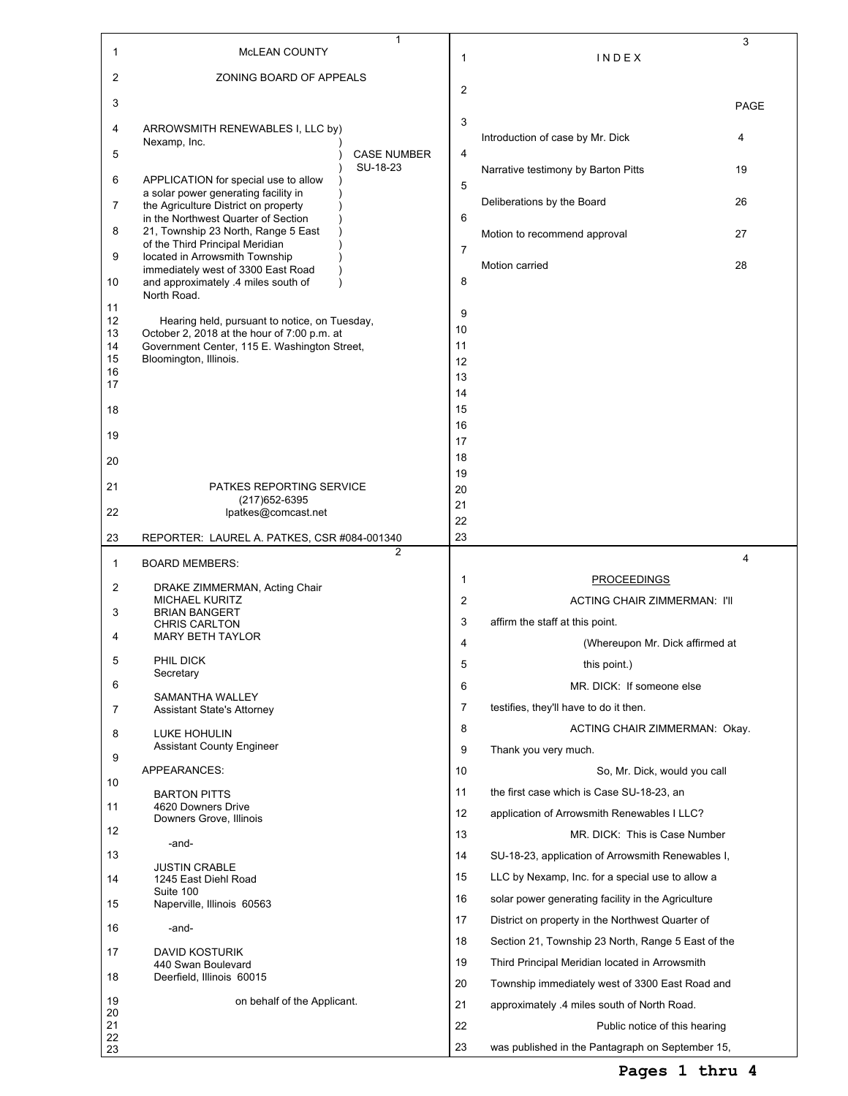| 1              | MCLEAN COUNTY                                                                                | 1                              |                |                                                                                   | 3           |
|----------------|----------------------------------------------------------------------------------------------|--------------------------------|----------------|-----------------------------------------------------------------------------------|-------------|
| 2              | ZONING BOARD OF APPEALS                                                                      |                                | $\mathbf{1}$   | INDEX                                                                             |             |
| 3              |                                                                                              |                                | $\overline{2}$ |                                                                                   |             |
| 4              | ARROWSMITH RENEWABLES I, LLC by)                                                             |                                | 3              |                                                                                   | <b>PAGE</b> |
|                | Nexamp, Inc.                                                                                 |                                |                | Introduction of case by Mr. Dick                                                  | 4           |
| 5              |                                                                                              | <b>CASE NUMBER</b><br>SU-18-23 | 4              | Narrative testimony by Barton Pitts                                               | 19          |
| 6              | APPLICATION for special use to allow<br>a solar power generating facility in                 |                                | 5              |                                                                                   |             |
| 7              | the Agriculture District on property<br>in the Northwest Quarter of Section                  |                                | 6              | Deliberations by the Board                                                        | 26          |
| 8              | 21, Township 23 North, Range 5 East<br>of the Third Principal Meridian                       |                                |                | Motion to recommend approval                                                      | 27          |
| 9              | located in Arrowsmith Township<br>immediately west of 3300 East Road                         |                                | $\overline{7}$ | Motion carried                                                                    | 28          |
| 10             | and approximately .4 miles south of<br>North Road.                                           |                                | 8              |                                                                                   |             |
| 11<br>12       |                                                                                              |                                | 9              |                                                                                   |             |
| 13             | Hearing held, pursuant to notice, on Tuesday,<br>October 2, 2018 at the hour of 7:00 p.m. at |                                | 10             |                                                                                   |             |
| 14<br>15       | Government Center, 115 E. Washington Street,<br>Bloomington, Illinois.                       |                                | 11<br>12       |                                                                                   |             |
| 16             |                                                                                              |                                | 13             |                                                                                   |             |
| 17             |                                                                                              |                                | 14             |                                                                                   |             |
| 18             |                                                                                              |                                | 15             |                                                                                   |             |
| 19             |                                                                                              |                                | 16             |                                                                                   |             |
|                |                                                                                              |                                | 17             |                                                                                   |             |
| 20             |                                                                                              |                                | 18<br>19       |                                                                                   |             |
| 21             | PATKES REPORTING SERVICE                                                                     |                                | 20             |                                                                                   |             |
| 22             | (217) 652-6395<br>lpatkes@comcast.net                                                        |                                | 21             |                                                                                   |             |
| 23             | REPORTER: LAUREL A. PATKES, CSR #084-001340                                                  |                                | 22<br>23       |                                                                                   |             |
|                |                                                                                              |                                |                |                                                                                   |             |
|                |                                                                                              | 2                              |                |                                                                                   | 4           |
| $\mathbf{1}$   | <b>BOARD MEMBERS:</b>                                                                        |                                | 1              | <b>PROCEEDINGS</b>                                                                |             |
| 2              | DRAKE ZIMMERMAN, Acting Chair<br><b>MICHAEL KURITZ</b>                                       |                                | $\overline{2}$ | <b>ACTING CHAIR ZIMMERMAN: I'll</b>                                               |             |
| 3              | <b>BRIAN BANGERT</b>                                                                         |                                | 3              | affirm the staff at this point.                                                   |             |
| 4              | <b>CHRIS CARLTON</b><br><b>MARY BETH TAYLOR</b>                                              |                                | 4              | (Whereupon Mr. Dick affirmed at                                                   |             |
| 5              | PHIL DICK                                                                                    |                                | 5              | this point.)                                                                      |             |
|                | Secretary                                                                                    |                                |                |                                                                                   |             |
| 6              | SAMANTHA WALLEY                                                                              |                                | 6              | MR. DICK: If someone else                                                         |             |
| 7              | <b>Assistant State's Attorney</b>                                                            |                                | 7              | testifies, they'll have to do it then.                                            |             |
| 8              | LUKE HOHULIN                                                                                 |                                | 8              | ACTING CHAIR ZIMMERMAN: Okay.                                                     |             |
| 9              | <b>Assistant County Engineer</b>                                                             |                                | 9              | Thank you very much.                                                              |             |
| 10             | APPEARANCES:                                                                                 |                                | 10             | So, Mr. Dick, would you call                                                      |             |
|                | <b>BARTON PITTS</b>                                                                          |                                | 11             | the first case which is Case SU-18-23, an                                         |             |
| 11             | 4620 Downers Drive<br>Downers Grove, Illinois                                                |                                | 12             | application of Arrowsmith Renewables I LLC?                                       |             |
| 12             | -and-                                                                                        |                                | 13             | MR. DICK: This is Case Number                                                     |             |
| 13             |                                                                                              |                                | 14             | SU-18-23, application of Arrowsmith Renewables I,                                 |             |
| 14             | <b>JUSTIN CRABLE</b><br>1245 East Diehl Road                                                 |                                | 15             | LLC by Nexamp, Inc. for a special use to allow a                                  |             |
| 15             | Suite 100<br>Naperville, Illinois 60563                                                      |                                | 16             | solar power generating facility in the Agriculture                                |             |
|                |                                                                                              |                                | 17             | District on property in the Northwest Quarter of                                  |             |
| 16             | -and-                                                                                        |                                | 18             | Section 21, Township 23 North, Range 5 East of the                                |             |
| 17             | DAVID KOSTURIK<br>440 Swan Boulevard                                                         |                                | 19             | Third Principal Meridian located in Arrowsmith                                    |             |
| 18             | Deerfield, Illinois 60015                                                                    |                                | 20             | Township immediately west of 3300 East Road and                                   |             |
| 19             | on behalf of the Applicant.                                                                  |                                | 21             | approximately .4 miles south of North Road.                                       |             |
| 20             |                                                                                              |                                |                |                                                                                   |             |
| 21<br>22<br>23 |                                                                                              |                                | 22<br>23       | Public notice of this hearing<br>was published in the Pantagraph on September 15, |             |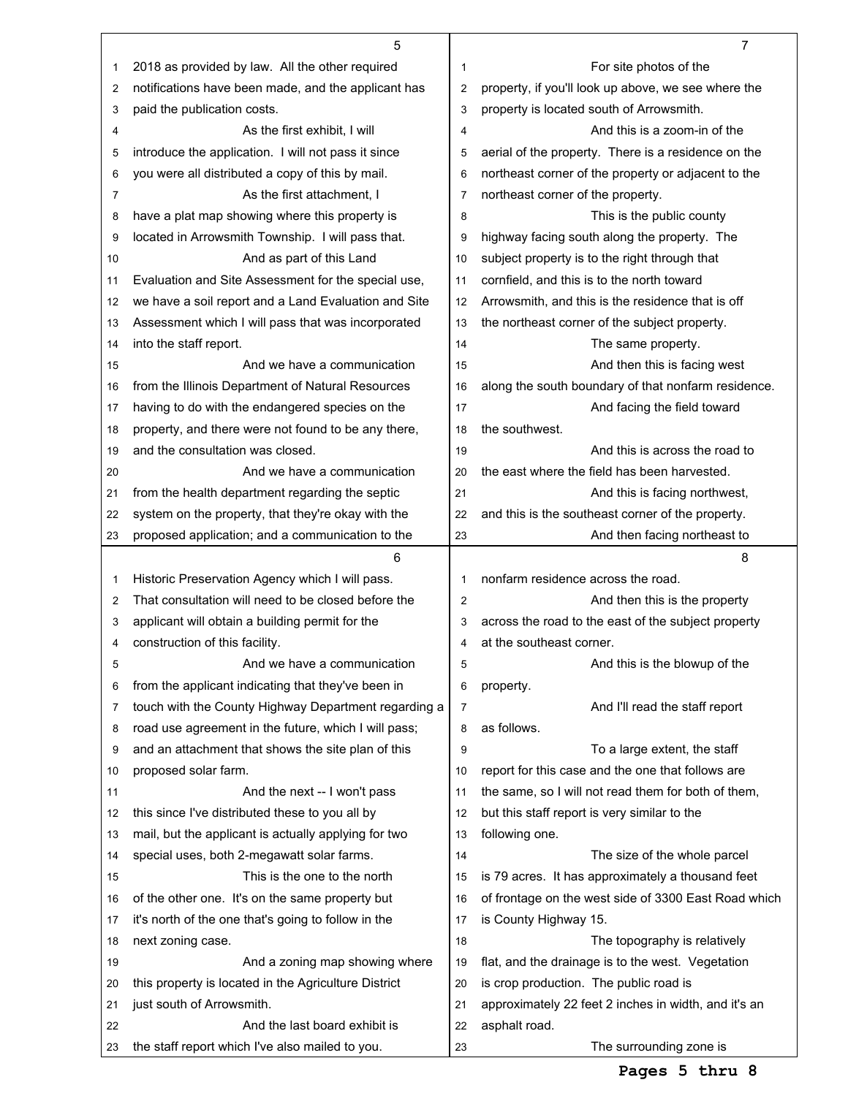|    | 5                                                                                 |                | 7                                                                                              |
|----|-----------------------------------------------------------------------------------|----------------|------------------------------------------------------------------------------------------------|
| 1  | 2018 as provided by law. All the other required                                   | 1              | For site photos of the                                                                         |
| 2  | notifications have been made, and the applicant has                               | $\overline{c}$ | property, if you'll look up above, we see where the                                            |
| 3  | paid the publication costs.                                                       | 3              | property is located south of Arrowsmith.                                                       |
| 4  | As the first exhibit. I will                                                      | 4              | And this is a zoom-in of the                                                                   |
| 5  | introduce the application. I will not pass it since                               | 5              | aerial of the property. There is a residence on the                                            |
| 6  | you were all distributed a copy of this by mail.                                  | 6              | northeast corner of the property or adjacent to the                                            |
| 7  | As the first attachment, I                                                        | $\overline{7}$ | northeast corner of the property.                                                              |
| 8  | have a plat map showing where this property is                                    | 8              | This is the public county                                                                      |
| 9  | located in Arrowsmith Township. I will pass that.                                 | 9              | highway facing south along the property. The                                                   |
| 10 | And as part of this Land                                                          | 10             | subject property is to the right through that                                                  |
| 11 | Evaluation and Site Assessment for the special use,                               | 11             | cornfield, and this is to the north toward                                                     |
| 12 | we have a soil report and a Land Evaluation and Site                              | 12             | Arrowsmith, and this is the residence that is off                                              |
| 13 | Assessment which I will pass that was incorporated                                | 13             | the northeast corner of the subject property.                                                  |
| 14 | into the staff report.                                                            | 14             |                                                                                                |
|    | And we have a communication                                                       |                | The same property.                                                                             |
| 15 |                                                                                   | 15             | And then this is facing west                                                                   |
| 16 | from the Illinois Department of Natural Resources                                 | 16             | along the south boundary of that nonfarm residence.                                            |
| 17 | having to do with the endangered species on the                                   | 17             | And facing the field toward                                                                    |
| 18 | property, and there were not found to be any there,                               | 18             | the southwest.                                                                                 |
| 19 | and the consultation was closed.                                                  | 19             | And this is across the road to                                                                 |
| 20 | And we have a communication                                                       | 20             | the east where the field has been harvested.                                                   |
| 21 | from the health department regarding the septic                                   | 21             | And this is facing northwest,                                                                  |
| 22 | system on the property, that they're okay with the                                | 22             | and this is the southeast corner of the property.                                              |
| 23 | proposed application; and a communication to the                                  | 23             | And then facing northeast to                                                                   |
|    |                                                                                   |                |                                                                                                |
|    | 6                                                                                 |                | 8                                                                                              |
| 1  | Historic Preservation Agency which I will pass.                                   | 1              | nonfarm residence across the road.                                                             |
| 2  | That consultation will need to be closed before the                               | $\overline{c}$ | And then this is the property                                                                  |
| 3  | applicant will obtain a building permit for the                                   | 3              | across the road to the east of the subject property                                            |
| 4  | construction of this facility.                                                    | 4              | at the southeast corner.                                                                       |
| 5  | And we have a communication                                                       | 5              | And this is the blowup of the                                                                  |
| 6  | from the applicant indicating that they've been in                                | 6              | property.                                                                                      |
| 7  | touch with the County Highway Department regarding a                              | 7              | And I'll read the staff report                                                                 |
| 8  | road use agreement in the future, which I will pass;                              | 8              | as follows.                                                                                    |
| 9  | and an attachment that shows the site plan of this                                | 9              | To a large extent, the staff                                                                   |
| 10 | proposed solar farm.                                                              | 10             | report for this case and the one that follows are                                              |
| 11 | And the next -- I won't pass                                                      | 11             | the same, so I will not read them for both of them,                                            |
| 12 | this since I've distributed these to you all by                                   | 12             | but this staff report is very similar to the                                                   |
| 13 | mail, but the applicant is actually applying for two                              | 13             | following one.                                                                                 |
| 14 | special uses, both 2-megawatt solar farms.                                        | 14             | The size of the whole parcel                                                                   |
| 15 | This is the one to the north                                                      | 15             | is 79 acres. It has approximately a thousand feet                                              |
| 16 | of the other one. It's on the same property but                                   | 16             | of frontage on the west side of 3300 East Road which                                           |
| 17 | it's north of the one that's going to follow in the                               | 17             | is County Highway 15.                                                                          |
| 18 | next zoning case.                                                                 | 18             | The topography is relatively                                                                   |
| 19 | And a zoning map showing where                                                    | 19             | flat, and the drainage is to the west. Vegetation                                              |
| 20 |                                                                                   | 20             |                                                                                                |
| 21 | this property is located in the Agriculture District<br>just south of Arrowsmith. | 21             | is crop production. The public road is<br>approximately 22 feet 2 inches in width, and it's an |
| 22 | And the last board exhibit is                                                     | 22             | asphalt road.                                                                                  |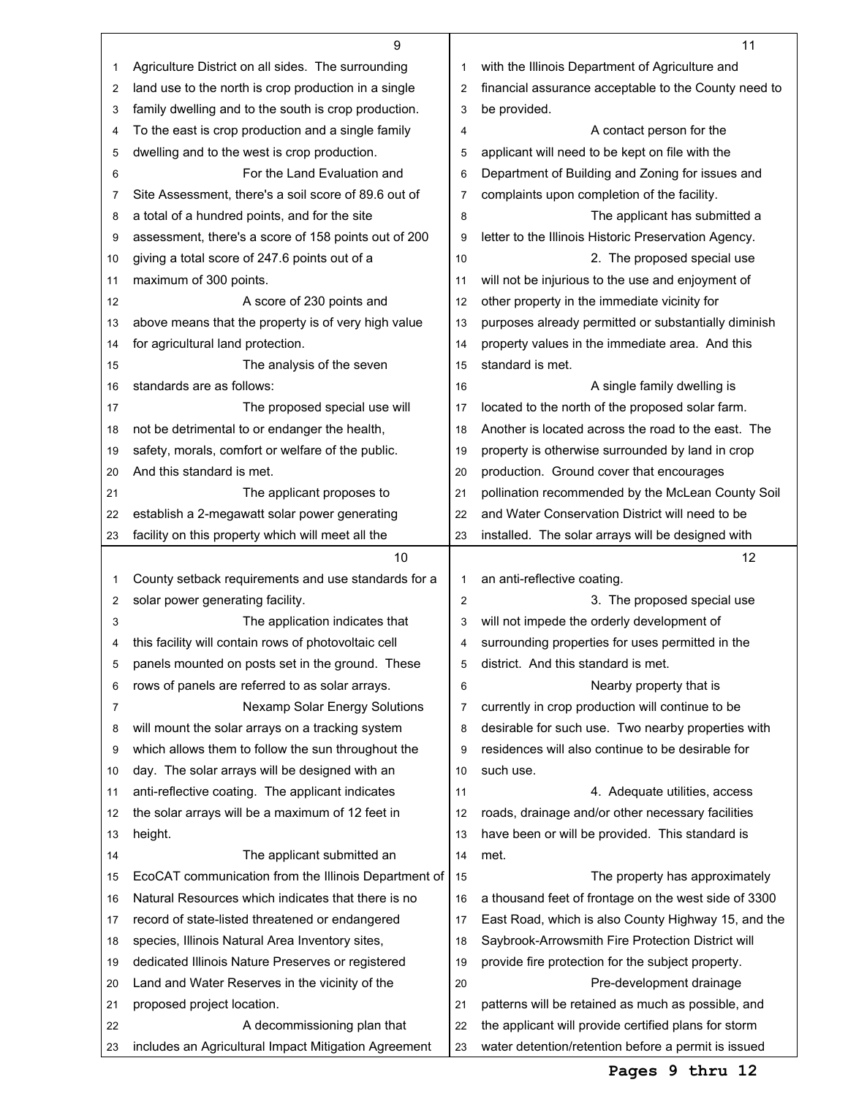|    | 9                                                    |                | 11                                                   |
|----|------------------------------------------------------|----------------|------------------------------------------------------|
| 1  | Agriculture District on all sides. The surrounding   | 1              | with the Illinois Department of Agriculture and      |
| 2  | land use to the north is crop production in a single | $\overline{2}$ | financial assurance acceptable to the County need to |
| 3  | family dwelling and to the south is crop production. | 3              | be provided.                                         |
| 4  | To the east is crop production and a single family   | 4              | A contact person for the                             |
| 5  | dwelling and to the west is crop production.         | 5              | applicant will need to be kept on file with the      |
| 6  | For the Land Evaluation and                          | 6              | Department of Building and Zoning for issues and     |
| 7  | Site Assessment, there's a soil score of 89.6 out of | 7              | complaints upon completion of the facility.          |
| 8  | a total of a hundred points, and for the site        | 8              | The applicant has submitted a                        |
| 9  | assessment, there's a score of 158 points out of 200 | 9              | letter to the Illinois Historic Preservation Agency. |
| 10 | giving a total score of 247.6 points out of a        | 10             | 2. The proposed special use                          |
| 11 | maximum of 300 points.                               | 11             | will not be injurious to the use and enjoyment of    |
| 12 | A score of 230 points and                            | 12             | other property in the immediate vicinity for         |
| 13 | above means that the property is of very high value  | 13             | purposes already permitted or substantially diminish |
| 14 | for agricultural land protection.                    | 14             | property values in the immediate area. And this      |
| 15 | The analysis of the seven                            | 15             | standard is met.                                     |
| 16 | standards are as follows:                            | 16             | A single family dwelling is                          |
| 17 | The proposed special use will                        | 17             | located to the north of the proposed solar farm.     |
| 18 | not be detrimental to or endanger the health,        | 18             | Another is located across the road to the east. The  |
| 19 | safety, morals, comfort or welfare of the public.    | 19             | property is otherwise surrounded by land in crop     |
| 20 | And this standard is met.                            | 20             | production. Ground cover that encourages             |
| 21 | The applicant proposes to                            | 21             | pollination recommended by the McLean County Soil    |
| 22 | establish a 2-megawatt solar power generating        | 22             | and Water Conservation District will need to be      |
| 23 | facility on this property which will meet all the    | 23             | installed. The solar arrays will be designed with    |
|    | 10                                                   |                | 12                                                   |
| 1  | County setback requirements and use standards for a  | 1              | an anti-reflective coating.                          |
| 2  | solar power generating facility.                     | 2              | 3. The proposed special use                          |
| 3  | The application indicates that                       | 3              | will not impede the orderly development of           |
|    |                                                      |                |                                                      |
| 4  | this facility will contain rows of photovoltaic cell | 4              | surrounding properties for uses permitted in the     |
| 5  | panels mounted on posts set in the ground. These     | 5              | district. And this standard is met.                  |
| 6  | rows of panels are referred to as solar arrays.      | 6              | Nearby property that is                              |
| 7  | Nexamp Solar Energy Solutions                        | 7              | currently in crop production will continue to be     |
| 8  | will mount the solar arrays on a tracking system     | 8              | desirable for such use. Two nearby properties with   |
| 9  | which allows them to follow the sun throughout the   | 9              | residences will also continue to be desirable for    |
| 10 | day. The solar arrays will be designed with an       | 10             | such use.                                            |
| 11 | anti-reflective coating. The applicant indicates     | 11             | 4. Adequate utilities, access                        |
| 12 | the solar arrays will be a maximum of 12 feet in     | 12             | roads, drainage and/or other necessary facilities    |
| 13 | height.                                              | 13             | have been or will be provided. This standard is      |
| 14 | The applicant submitted an                           | 14             | met.                                                 |
| 15 | EcoCAT communication from the Illinois Department of | 15             | The property has approximately                       |
| 16 | Natural Resources which indicates that there is no   | 16             | a thousand feet of frontage on the west side of 3300 |
| 17 | record of state-listed threatened or endangered      | 17             | East Road, which is also County Highway 15, and the  |
| 18 | species, Illinois Natural Area Inventory sites,      | 18             | Saybrook-Arrowsmith Fire Protection District will    |
| 19 | dedicated Illinois Nature Preserves or registered    | 19             | provide fire protection for the subject property.    |
| 20 | Land and Water Reserves in the vicinity of the       | 20             | Pre-development drainage                             |
| 21 | proposed project location.                           | 21             | patterns will be retained as much as possible, and   |
| 22 | A decommissioning plan that                          | 22             | the applicant will provide certified plans for storm |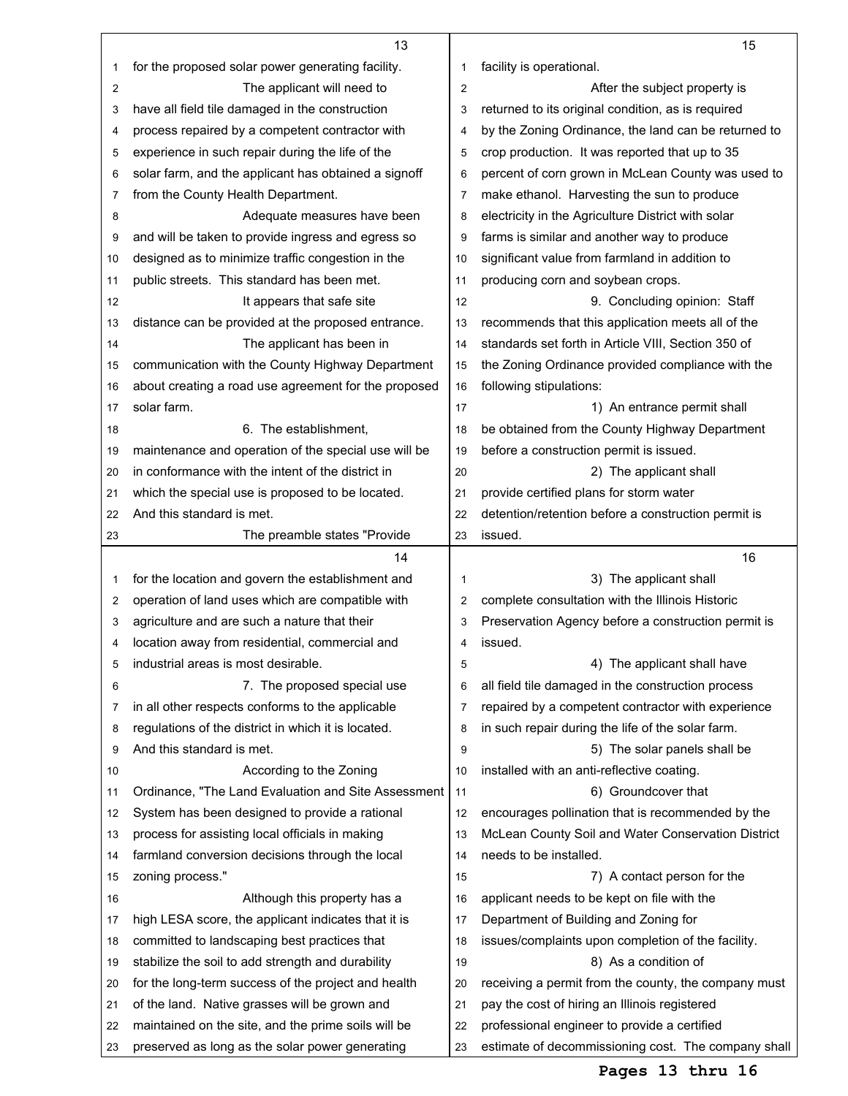|          | 13                                                                                                     |                | 15                                                                                                  |
|----------|--------------------------------------------------------------------------------------------------------|----------------|-----------------------------------------------------------------------------------------------------|
| 1        | for the proposed solar power generating facility.                                                      | 1              | facility is operational.                                                                            |
| 2        | The applicant will need to                                                                             | $\overline{c}$ | After the subject property is                                                                       |
| 3        | have all field tile damaged in the construction                                                        | 3              | returned to its original condition, as is required                                                  |
| 4        | process repaired by a competent contractor with                                                        | 4              | by the Zoning Ordinance, the land can be returned to                                                |
| 5        | experience in such repair during the life of the                                                       | 5              | crop production. It was reported that up to 35                                                      |
| 6        | solar farm, and the applicant has obtained a signoff                                                   | 6              | percent of corn grown in McLean County was used to                                                  |
| 7        | from the County Health Department.                                                                     | $\overline{7}$ | make ethanol. Harvesting the sun to produce                                                         |
| 8        | Adequate measures have been                                                                            | 8              | electricity in the Agriculture District with solar                                                  |
| 9        | and will be taken to provide ingress and egress so                                                     | 9              | farms is similar and another way to produce                                                         |
| 10       | designed as to minimize traffic congestion in the                                                      | 10             | significant value from farmland in addition to                                                      |
| 11       | public streets. This standard has been met.                                                            | 11             | producing corn and soybean crops.                                                                   |
| 12       | It appears that safe site                                                                              | 12             | 9. Concluding opinion: Staff                                                                        |
| 13       | distance can be provided at the proposed entrance.                                                     | 13             | recommends that this application meets all of the                                                   |
| 14       | The applicant has been in                                                                              | 14             | standards set forth in Article VIII, Section 350 of                                                 |
|          | communication with the County Highway Department                                                       |                |                                                                                                     |
| 15       |                                                                                                        | 15             | the Zoning Ordinance provided compliance with the                                                   |
| 16       | about creating a road use agreement for the proposed                                                   | 16             | following stipulations:                                                                             |
| 17       | solar farm.                                                                                            | 17             | 1) An entrance permit shall                                                                         |
| 18       | 6. The establishment.                                                                                  | 18             | be obtained from the County Highway Department                                                      |
| 19       | maintenance and operation of the special use will be                                                   | 19             | before a construction permit is issued.                                                             |
| 20       | in conformance with the intent of the district in                                                      | 20             | 2) The applicant shall                                                                              |
| 21       | which the special use is proposed to be located.                                                       | 21             | provide certified plans for storm water                                                             |
| 22       | And this standard is met.                                                                              | 22             | detention/retention before a construction permit is                                                 |
| 23       | The preamble states "Provide                                                                           | 23             | issued.                                                                                             |
|          | 14                                                                                                     |                | 16                                                                                                  |
| 1        | for the location and govern the establishment and                                                      | 1              | 3) The applicant shall                                                                              |
| 2        | operation of land uses which are compatible with                                                       | 2              | complete consultation with the Illinois Historic                                                    |
| 3        | agriculture and are such a nature that their                                                           | 3              | Preservation Agency before a construction permit is                                                 |
| 4        | location away from residential, commercial and                                                         | 4              | issued.                                                                                             |
| 5        | industrial areas is most desirable.                                                                    | 5              | 4) The applicant shall have                                                                         |
| 6        |                                                                                                        |                |                                                                                                     |
| 7        | 7. The proposed special use                                                                            | 6              | all field tile damaged in the construction process                                                  |
|          | in all other respects conforms to the applicable                                                       | 7              | repaired by a competent contractor with experience                                                  |
| 8        | regulations of the district in which it is located.                                                    | 8              | in such repair during the life of the solar farm.                                                   |
| 9        | And this standard is met.                                                                              | 9              | 5) The solar panels shall be                                                                        |
| 10       | According to the Zoning                                                                                | 10             | installed with an anti-reflective coating.                                                          |
| 11       | Ordinance, "The Land Evaluation and Site Assessment                                                    | 11             | 6) Groundcover that                                                                                 |
| 12       | System has been designed to provide a rational                                                         | 12             | encourages pollination that is recommended by the                                                   |
| 13       | process for assisting local officials in making                                                        | 13             | McLean County Soil and Water Conservation District                                                  |
| 14       | farmland conversion decisions through the local                                                        | 14             | needs to be installed.                                                                              |
| 15       |                                                                                                        | 15             | 7) A contact person for the                                                                         |
| 16       | zoning process."<br>Although this property has a                                                       | 16             | applicant needs to be kept on file with the                                                         |
| 17       |                                                                                                        | 17             |                                                                                                     |
| 18       | high LESA score, the applicant indicates that it is                                                    | 18             | Department of Building and Zoning for                                                               |
| 19       | committed to landscaping best practices that                                                           | 19             | issues/complaints upon completion of the facility.                                                  |
|          | stabilize the soil to add strength and durability                                                      |                | 8) As a condition of                                                                                |
| 20       | for the long-term success of the project and health                                                    | 20<br>21       | receiving a permit from the county, the company must                                                |
| 21       | of the land. Native grasses will be grown and                                                          |                | pay the cost of hiring an Illinois registered                                                       |
| 22<br>23 | maintained on the site, and the prime soils will be<br>preserved as long as the solar power generating | 22<br>23       | professional engineer to provide a certified<br>estimate of decommissioning cost. The company shall |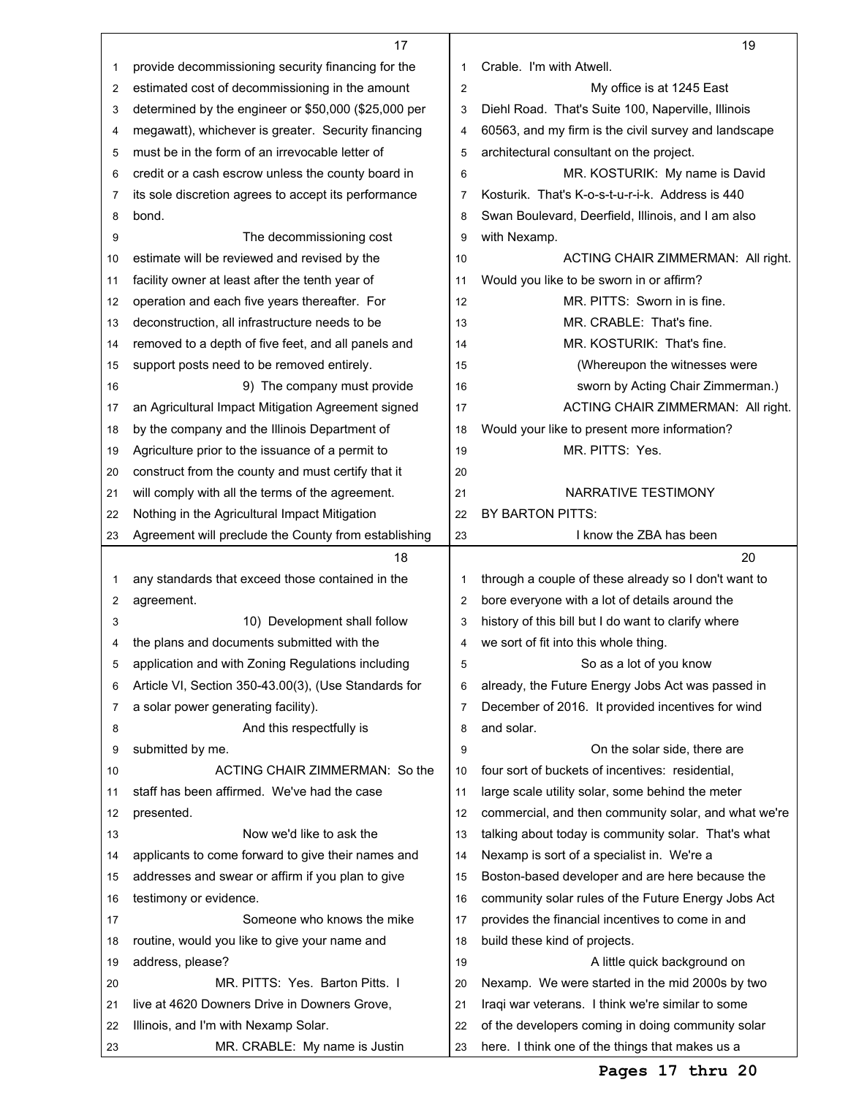|    | 17                                                   |                | 19                                                   |
|----|------------------------------------------------------|----------------|------------------------------------------------------|
| 1  | provide decommissioning security financing for the   | 1              | Crable. I'm with Atwell.                             |
| 2  | estimated cost of decommissioning in the amount      | $\overline{2}$ | My office is at 1245 East                            |
| 3  | determined by the engineer or \$50,000 (\$25,000 per | 3              | Diehl Road. That's Suite 100, Naperville, Illinois   |
| 4  | megawatt), whichever is greater. Security financing  | 4              | 60563, and my firm is the civil survey and landscape |
| 5  | must be in the form of an irrevocable letter of      | 5              | architectural consultant on the project.             |
| 6  | credit or a cash escrow unless the county board in   | 6              | MR. KOSTURIK: My name is David                       |
| 7  | its sole discretion agrees to accept its performance | 7              | Kosturik. That's K-o-s-t-u-r-i-k. Address is 440     |
| 8  | bond.                                                | 8              | Swan Boulevard, Deerfield, Illinois, and I am also   |
| 9  | The decommissioning cost                             | 9              | with Nexamp.                                         |
| 10 | estimate will be reviewed and revised by the         | 10             | ACTING CHAIR ZIMMERMAN: All right.                   |
| 11 | facility owner at least after the tenth year of      | 11             | Would you like to be sworn in or affirm?             |
| 12 | operation and each five years thereafter. For        | 12             | MR. PITTS: Sworn in is fine.                         |
| 13 | deconstruction, all infrastructure needs to be       | 13             | MR. CRABLE: That's fine.                             |
| 14 | removed to a depth of five feet, and all panels and  | 14             | MR. KOSTURIK: That's fine.                           |
| 15 | support posts need to be removed entirely.           | 15             | (Whereupon the witnesses were                        |
| 16 | 9) The company must provide                          | 16             | sworn by Acting Chair Zimmerman.)                    |
| 17 | an Agricultural Impact Mitigation Agreement signed   | 17             | ACTING CHAIR ZIMMERMAN: All right.                   |
| 18 | by the company and the Illinois Department of        | 18             | Would your like to present more information?         |
|    | Agriculture prior to the issuance of a permit to     | 19             | MR. PITTS: Yes.                                      |
| 19 |                                                      |                |                                                      |
| 20 | construct from the county and must certify that it   | 20             | NARRATIVE TESTIMONY                                  |
| 21 | will comply with all the terms of the agreement.     | 21             |                                                      |
| 22 | Nothing in the Agricultural Impact Mitigation        | 22             | BY BARTON PITTS:                                     |
| 23 | Agreement will preclude the County from establishing | 23             | I know the ZBA has been                              |
|    |                                                      |                |                                                      |
|    | 18                                                   |                | 20                                                   |
| 1  | any standards that exceed those contained in the     | 1              | through a couple of these already so I don't want to |
| 2  | agreement.                                           | 2              | bore everyone with a lot of details around the       |
| 3  | 10) Development shall follow                         | 3              | history of this bill but I do want to clarify where  |
| 4  | the plans and documents submitted with the           | 4              | we sort of fit into this whole thing.                |
| 5  | application and with Zoning Regulations including    | 5              | So as a lot of you know                              |
| 6  | Article VI, Section 350-43.00(3), (Use Standards for | 6              | already, the Future Energy Jobs Act was passed in    |
| 7  | a solar power generating facility).                  | $\overline{7}$ | December of 2016. It provided incentives for wind    |
| 8  | And this respectfully is                             | 8              | and solar.                                           |
| 9  | submitted by me.                                     | 9              | On the solar side, there are                         |
| 10 | ACTING CHAIR ZIMMERMAN: So the                       | 10             | four sort of buckets of incentives: residential,     |
| 11 | staff has been affirmed. We've had the case          | 11             | large scale utility solar, some behind the meter     |
| 12 | presented.                                           | 12             | commercial, and then community solar, and what we're |
| 13 | Now we'd like to ask the                             | 13             | talking about today is community solar. That's what  |
| 14 | applicants to come forward to give their names and   | 14             | Nexamp is sort of a specialist in. We're a           |
| 15 | addresses and swear or affirm if you plan to give    | 15             | Boston-based developer and are here because the      |
| 16 | testimony or evidence.                               | 16             | community solar rules of the Future Energy Jobs Act  |
| 17 | Someone who knows the mike                           | 17             | provides the financial incentives to come in and     |
| 18 | routine, would you like to give your name and        | 18             | build these kind of projects.                        |
| 19 | address, please?                                     | 19             | A little quick background on                         |
| 20 | MR. PITTS: Yes. Barton Pitts. I                      | 20             | Nexamp. We were started in the mid 2000s by two      |
| 21 | live at 4620 Downers Drive in Downers Grove,         | 21             | Iraqi war veterans. I think we're similar to some    |
| 22 | Illinois, and I'm with Nexamp Solar.                 | 22             | of the developers coming in doing community solar    |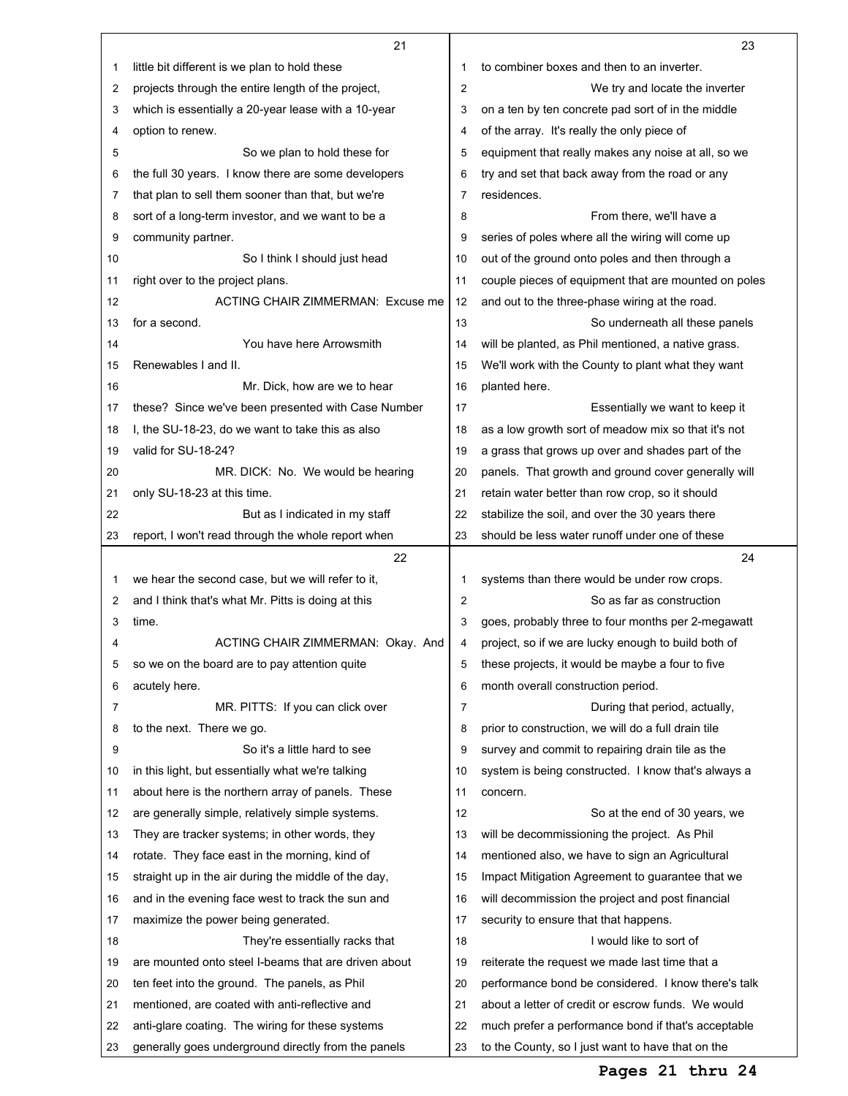|                | 21                                                   |                | 23                                                   |
|----------------|------------------------------------------------------|----------------|------------------------------------------------------|
| 1              | little bit different is we plan to hold these        | 1              | to combiner boxes and then to an inverter.           |
| $\overline{2}$ | projects through the entire length of the project,   | $\overline{2}$ | We try and locate the inverter                       |
| 3              | which is essentially a 20-year lease with a 10-year  | 3              | on a ten by ten concrete pad sort of in the middle   |
| 4              | option to renew.                                     | 4              | of the array. It's really the only piece of          |
| 5              | So we plan to hold these for                         | 5              | equipment that really makes any noise at all, so we  |
| 6              | the full 30 years. I know there are some developers  | 6              | try and set that back away from the road or any      |
| 7              | that plan to sell them sooner than that, but we're   | $\overline{7}$ | residences.                                          |
| 8              | sort of a long-term investor, and we want to be a    | 8              | From there, we'll have a                             |
| 9              | community partner.                                   | 9              | series of poles where all the wiring will come up    |
| 10             | So I think I should just head                        | 10             | out of the ground onto poles and then through a      |
| 11             | right over to the project plans.                     | 11             | couple pieces of equipment that are mounted on poles |
| 12             | ACTING CHAIR ZIMMERMAN: Excuse me                    | 12             | and out to the three-phase wiring at the road.       |
| 13             | for a second.                                        | 13             | So underneath all these panels                       |
| 14             | You have here Arrowsmith                             | 14             | will be planted, as Phil mentioned, a native grass.  |
| 15             | Renewables I and II.                                 | 15             | We'll work with the County to plant what they want   |
| 16             | Mr. Dick, how are we to hear                         | 16             | planted here.                                        |
| 17             | these? Since we've been presented with Case Number   | 17             | Essentially we want to keep it                       |
| 18             | I, the SU-18-23, do we want to take this as also     | 18             | as a low growth sort of meadow mix so that it's not  |
| 19             | valid for SU-18-24?                                  | 19             | a grass that grows up over and shades part of the    |
| 20             | MR. DICK: No. We would be hearing                    | 20             | panels. That growth and ground cover generally will  |
| 21             | only SU-18-23 at this time.                          | 21             | retain water better than row crop, so it should      |
| 22             | But as I indicated in my staff                       | 22             | stabilize the soil, and over the 30 years there      |
| 23             | report, I won't read through the whole report when   | 23             | should be less water runoff under one of these       |
|                |                                                      |                |                                                      |
|                | 22                                                   |                | 24                                                   |
| 1              | we hear the second case, but we will refer to it,    | 1              | systems than there would be under row crops.         |
| 2              | and I think that's what Mr. Pitts is doing at this   | $\overline{2}$ | So as far as construction                            |
| 3              | time.                                                | 3              | goes, probably three to four months per 2-megawatt   |
| 4              | ACTING CHAIR ZIMMERMAN: Okay. And                    | 4              | project, so if we are lucky enough to build both of  |
| 5              | so we on the board are to pay attention quite        | 5              | these projects, it would be maybe a four to five     |
| 6              | acutely here.                                        | 6              | month overall construction period.                   |
| 7              | MR. PITTS: If you can click over                     | 7              | During that period, actually,                        |
| 8              | to the next. There we go.                            | 8              | prior to construction, we will do a full drain tile  |
| 9              | So it's a little hard to see                         | 9              | survey and commit to repairing drain tile as the     |
| 10             | in this light, but essentially what we're talking    | 10             | system is being constructed. I know that's always a  |
| 11             | about here is the northern array of panels. These    | 11             | concern.                                             |
| 12             | are generally simple, relatively simple systems.     | 12             | So at the end of 30 years, we                        |
| 13             | They are tracker systems; in other words, they       | 13             | will be decommissioning the project. As Phil         |
| 14             | rotate. They face east in the morning, kind of       | 14             | mentioned also, we have to sign an Agricultural      |
| 15             | straight up in the air during the middle of the day, | 15             | Impact Mitigation Agreement to guarantee that we     |
| 16             | and in the evening face west to track the sun and    | 16             | will decommission the project and post financial     |
| 17             | maximize the power being generated.                  | 17             | security to ensure that that happens.                |
| 18             | They're essentially racks that                       | 18             | I would like to sort of                              |
| 19             | are mounted onto steel I-beams that are driven about | 19             | reiterate the request we made last time that a       |
| 20             | ten feet into the ground. The panels, as Phil        | 20             | performance bond be considered. I know there's talk  |
| 21             | mentioned, are coated with anti-reflective and       | 21             | about a letter of credit or escrow funds. We would   |
| 22             | anti-glare coating. The wiring for these systems     | 22             | much prefer a performance bond if that's acceptable  |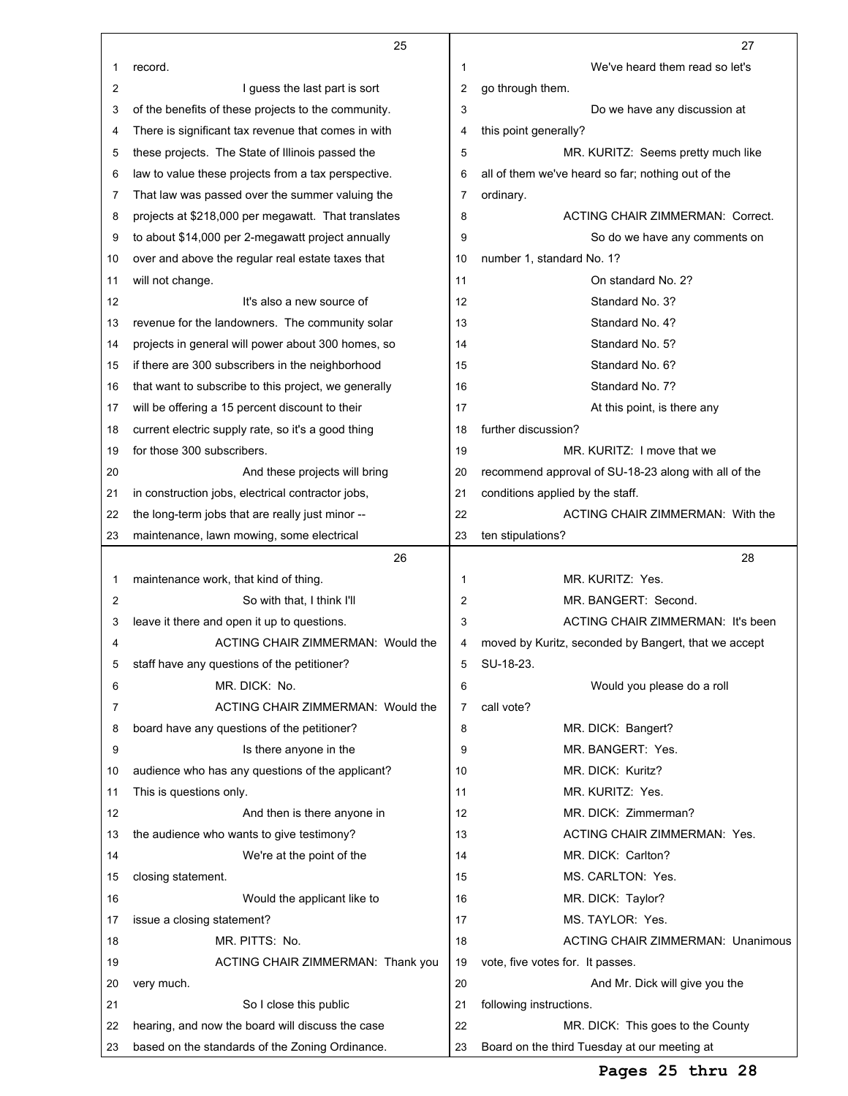|                | 25                                                   |                | 27                                                   |
|----------------|------------------------------------------------------|----------------|------------------------------------------------------|
| 1              | record.                                              | 1              | We've heard them read so let's                       |
| 2              | I guess the last part is sort                        | 2              | go through them.                                     |
| 3              | of the benefits of these projects to the community.  | 3              | Do we have any discussion at                         |
| 4              | There is significant tax revenue that comes in with  | 4              | this point generally?                                |
| 5              | these projects. The State of Illinois passed the     | 5              | MR. KURITZ: Seems pretty much like                   |
| 6              | law to value these projects from a tax perspective.  | 6              | all of them we've heard so far; nothing out of the   |
| 7              | That law was passed over the summer valuing the      | 7              | ordinary.                                            |
| 8              | projects at \$218,000 per megawatt. That translates  | 8              | <b>ACTING CHAIR ZIMMERMAN: Correct.</b>              |
| 9              | to about \$14,000 per 2-megawatt project annually    | 9              | So do we have any comments on                        |
| 10             | over and above the regular real estate taxes that    | 10             | number 1, standard No. 1?                            |
| 11             | will not change.                                     | 11             | On standard No. 2?                                   |
| 12             | It's also a new source of                            | 12             | Standard No. 3?                                      |
| 13             | revenue for the landowners. The community solar      | 13             | Standard No. 4?                                      |
| 14             | projects in general will power about 300 homes, so   | 14             | Standard No. 5?                                      |
| 15             | if there are 300 subscribers in the neighborhood     | 15             | Standard No. 6?                                      |
| 16             | that want to subscribe to this project, we generally | 16             | Standard No. 7?                                      |
| 17             | will be offering a 15 percent discount to their      | 17             | At this point, is there any                          |
| 18             | current electric supply rate, so it's a good thing   | 18             | further discussion?                                  |
| 19             | for those 300 subscribers.                           | 19             | MR. KURITZ: I move that we                           |
| 20             | And these projects will bring                        | 20             | recommend approval of SU-18-23 along with all of the |
| 21             | in construction jobs, electrical contractor jobs,    | 21             | conditions applied by the staff.                     |
| 22             | the long-term jobs that are really just minor --     | 22             | ACTING CHAIR ZIMMERMAN: With the                     |
| 23             | maintenance, lawn mowing, some electrical            | 23             | ten stipulations?                                    |
|                |                                                      |                |                                                      |
|                | 26                                                   |                | 28                                                   |
| 1              | maintenance work, that kind of thing.                | 1              | MR. KURITZ: Yes.                                     |
| $\overline{2}$ | So with that, I think I'll                           | $\overline{2}$ | MR. BANGERT: Second.                                 |
| 3              | leave it there and open it up to questions.          | 3              | ACTING CHAIR ZIMMERMAN: It's been                    |
| 4              | ACTING CHAIR ZIMMERMAN: Would the                    | 4              | moved by Kuritz, seconded by Bangert, that we accept |
| 5              | staff have any questions of the petitioner?          | 5              | SU-18-23.                                            |
| 6              | MR. DICK: No.                                        | 6              | Would you please do a roll                           |
| 7              | ACTING CHAIR ZIMMERMAN: Would the                    | 7              | call vote?                                           |
| 8              | board have any questions of the petitioner?          | 8              | MR. DICK: Bangert?                                   |
| 9              | Is there anyone in the                               | 9              | MR. BANGERT: Yes.                                    |
| 10             | audience who has any questions of the applicant?     | 10             | MR. DICK: Kuritz?                                    |
| 11             | This is questions only.                              | 11             | MR. KURITZ: Yes.                                     |
| 12             | And then is there anyone in                          | 12             | MR. DICK: Zimmerman?                                 |
| 13             | the audience who wants to give testimony?            | 13             | ACTING CHAIR ZIMMERMAN: Yes.                         |
| 14             | We're at the point of the                            | 14             | MR. DICK: Carlton?                                   |
| 15             | closing statement.                                   | 15             | MS. CARLTON: Yes.                                    |
| 16             | Would the applicant like to                          | 16             | MR. DICK: Taylor?                                    |
| 17             | issue a closing statement?                           | 17             | MS. TAYLOR: Yes.                                     |
| 18             | MR. PITTS: No.                                       | 18             | <b>ACTING CHAIR ZIMMERMAN: Unanimous</b>             |
| 19             | ACTING CHAIR ZIMMERMAN: Thank you                    | 19             | vote, five votes for. It passes.                     |
| 20             | very much.                                           | 20             | And Mr. Dick will give you the                       |
| 21             | So I close this public                               | 21             | following instructions.                              |
| 22             | hearing, and now the board will discuss the case     | 22             | MR. DICK: This goes to the County                    |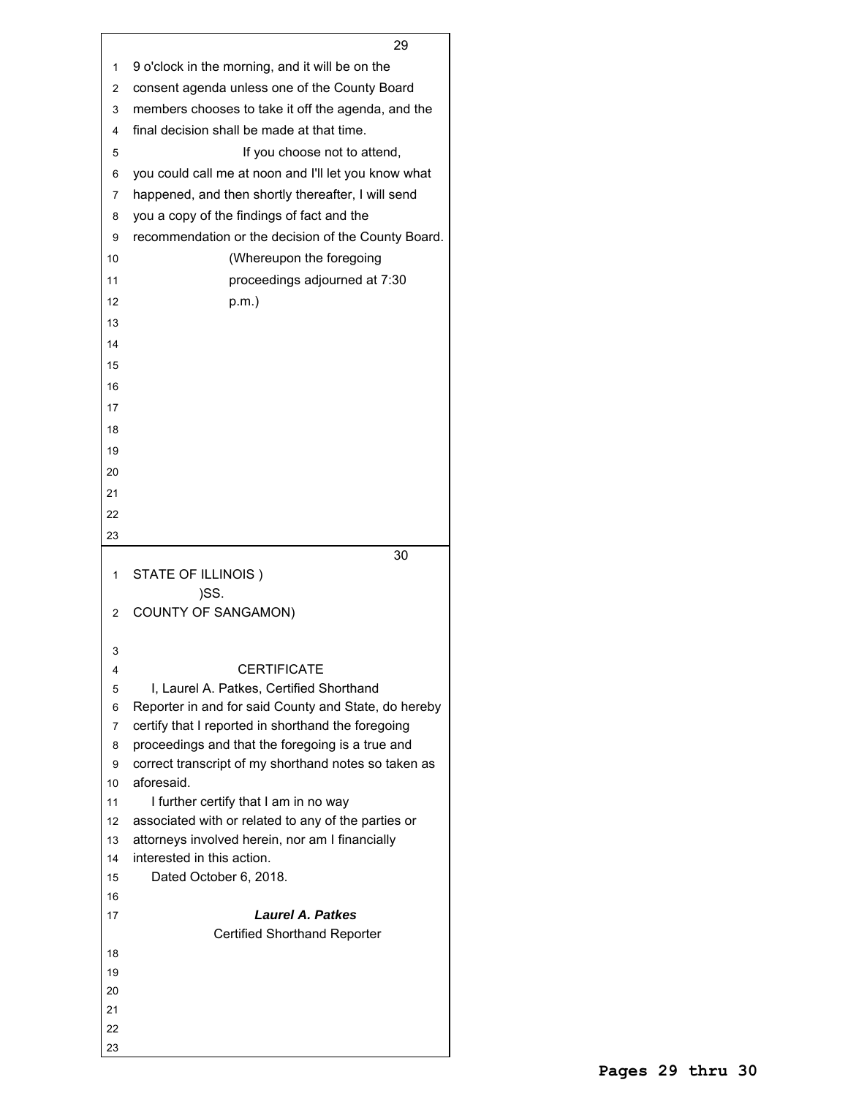|          | 29                                                                                               |
|----------|--------------------------------------------------------------------------------------------------|
| 1        | 9 o'clock in the morning, and it will be on the                                                  |
| 2        | consent agenda unless one of the County Board                                                    |
| 3        | members chooses to take it off the agenda, and the                                               |
| 4        | final decision shall be made at that time.                                                       |
| 5        | If you choose not to attend,                                                                     |
| 6        | you could call me at noon and I'll let you know what                                             |
| 7        | happened, and then shortly thereafter, I will send                                               |
| 8        | you a copy of the findings of fact and the                                                       |
| 9        | recommendation or the decision of the County Board.                                              |
| 10       | (Whereupon the foregoing                                                                         |
|          |                                                                                                  |
| 11       | proceedings adjourned at 7:30                                                                    |
| 12       | p.m.)                                                                                            |
| 13       |                                                                                                  |
| 14       |                                                                                                  |
| 15       |                                                                                                  |
| 16       |                                                                                                  |
| 17       |                                                                                                  |
| 18       |                                                                                                  |
| 19       |                                                                                                  |
| 20       |                                                                                                  |
| 21       |                                                                                                  |
| 22       |                                                                                                  |
| 23       |                                                                                                  |
|          | 30                                                                                               |
| 1        | STATE OF ILLINOIS)                                                                               |
|          | )SS.                                                                                             |
| 2        | <b>COUNTY OF SANGAMON)</b>                                                                       |
|          |                                                                                                  |
| 3        |                                                                                                  |
| 4        | <b>CERTIFICATE</b>                                                                               |
| 5        | I, Laurel A. Patkes, Certified Shorthand<br>Reporter in and for said County and State, do hereby |
| 6<br>7   | certify that I reported in shorthand the foregoing                                               |
| 8        | proceedings and that the foregoing is a true and                                                 |
| 9        | correct transcript of my shorthand notes so taken as                                             |
| 10       | aforesaid.                                                                                       |
| 11       | I further certify that I am in no way                                                            |
| 12       | associated with or related to any of the parties or                                              |
| 13       | attorneys involved herein, nor am I financially                                                  |
| 14       | interested in this action.                                                                       |
| 15       | Dated October 6, 2018.                                                                           |
| 16       |                                                                                                  |
| 17       | <b>Laurel A. Patkes</b>                                                                          |
|          | <b>Certified Shorthand Reporter</b>                                                              |
| 18       |                                                                                                  |
| 19       |                                                                                                  |
| 20<br>21 |                                                                                                  |
| 22       |                                                                                                  |
| 23       |                                                                                                  |
|          |                                                                                                  |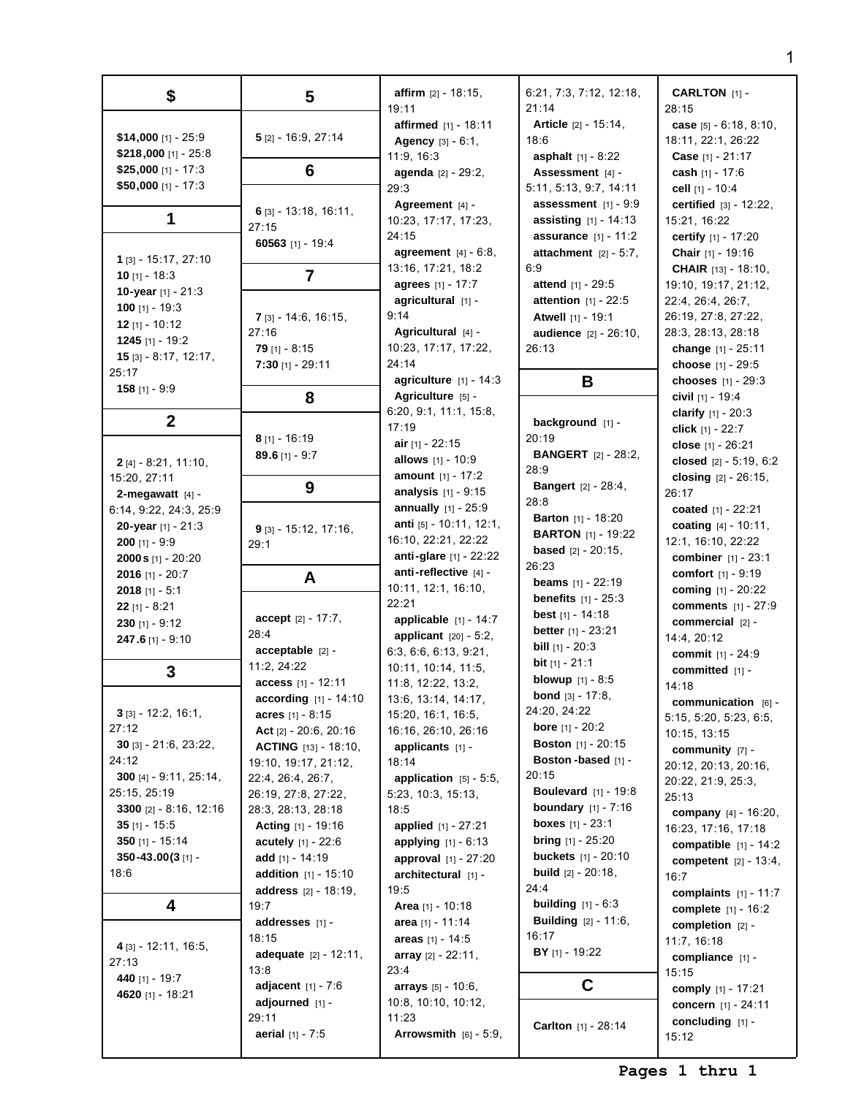| \$                                       | $\overline{\mathbf{5}}$        | <b>affirm</b> $[2] - 18:15$ ,<br>19:11 | 6:21, 7:3, 7:12, 12:18,<br>21:14 | <b>CARLTON</b> [1] -<br>28:15  |
|------------------------------------------|--------------------------------|----------------------------------------|----------------------------------|--------------------------------|
|                                          |                                | affirmed [1] - 18:11                   | Article [2] - 15:14,             | case $[5] - 6:18, 8:10$ ,      |
| \$14,000 [1] - 25:9                      | $5$ [2] - 16:9, 27:14          | Agency [3] - 6:1,                      | 18:6                             | 18:11, 22:1, 26:22             |
| $$218,000$ [1] - 25:8                    |                                | 11:9, 16:3                             | <b>asphalt</b> $[1] - 8:22$      | <b>Case</b> $[1] - 21:17$      |
| \$25,000 [1] - 17:3                      | 6                              | agenda [2] - 29:2,                     | Assessment [4] -                 | cash $[1] - 17:6$              |
| \$50,000 [1] - 17:3                      |                                | 29:3                                   | 5:11, 5:13, 9:7, 14:11           | cell $[1] - 10:4$              |
|                                          |                                | Agreement $[4]$ -                      | assessment $[1] - 9:9$           | certified $[3] - 12:22$ ,      |
| 1                                        | $6$ [3] - 13:18, 16:11,        | 10:23, 17:17, 17:23,                   | <b>assisting</b> $[1] - 14:13$   | 15:21, 16:22                   |
|                                          | 27:15                          | 24:15                                  | <b>assurance</b> $[1] - 11:2$    | certify [1] - 17:20            |
|                                          | 60563 [1] - 19:4               | agreement $[4] - 6:8$ ,                | attachment $[2] - 5:7$ .         | Chair [1] - 19:16              |
| 1 [3] - 15:17, 27:10                     |                                | 13:16, 17:21, 18:2                     | 6:9                              | <b>CHAIR</b> $[13] - 18:10$ ,  |
| 10 $[1] - 18:3$                          | $\overline{7}$                 | <b>agrees</b> [1] - 17:7               | <b>attend</b> $[1] - 29:5$       | 19:10, 19:17, 21:12,           |
| 10-year [1] - 21:3                       |                                | agricultural [1] -                     | attention [1] - 22:5             | 22:4, 26:4, 26:7,              |
| 100 [1] - 19:3                           | $7$ [3] - 14:6, 16:15,         | 9:14                                   | Atwell [1] - 19:1                | 26:19, 27:8, 27:22,            |
| $12$ [1] - 10:12                         | 27:16                          | Agricultural $[4]$ -                   | <b>audience</b> [2] - 26:10,     | 28:3, 28:13, 28:18             |
| 1245 [1] - 19:2                          | $79$ [1] - 8:15                | 10:23, 17:17, 17:22,                   | 26:13                            | change [1] - 25:11             |
| $15$ [3] - 8:17, 12:17,                  | $7:30$ [1] - 29:11             | 24:14                                  |                                  | choose $[1] - 29:5$            |
| 25:17                                    |                                | agriculture $[1] - 14:3$               | В                                | chooses $[1] - 29:3$           |
| $158$ [1] - 9:9                          | 8                              | Agriculture [5] -                      |                                  | civil $[1]$ - 19:4             |
|                                          |                                | 6:20, 9:1, 11:1, 15:8,                 |                                  | clarify $[1] - 20:3$           |
| $\boldsymbol{2}$                         |                                | 17:19                                  | background [1] -                 | click [1] - 22:7               |
|                                          | $8$ [1] - 16:19                | air $[1] - 22:15$                      | 20:19                            | close [1] - 26:21              |
| $2$ [4] - 8:21, 11:10,                   | $89.6$ [1] - 9:7               | allows [1] - 10:9                      | <b>BANGERT</b> [2] - 28:2,       | closed $[2] - 5:19, 6:2$       |
| 15:20, 27:11                             |                                | amount [1] - 17:2                      | 28:9                             | closing [2] - 26:15,           |
| 2-megawatt $[4]$ -                       | 9                              | <b>analysis</b> $[1] - 9:15$           | <b>Bangert</b> $[2] - 28:4$      | 26:17                          |
| 6:14, 9:22, 24:3, 25:9                   |                                | annually $[1] - 25:9$                  | 28:8                             | coated [1] - 22:21             |
| 20-year $[1] - 21:3$                     |                                | anti [5] - 10:11, 12:1,                | <b>Barton</b> $[1] - 18:20$      | coating [4] - 10:11,           |
| $200$ [1] - 9:9                          | $9$ [3] - 15:12, 17:16,        | 16:10, 22:21, 22:22                    | <b>BARTON</b> [1] - 19:22        | 12:1, 16:10, 22:22             |
| $2000 s$ [1] - 20:20                     | 29:1                           | <b>anti-glare</b> $[1]$ - 22:22        | <b>based</b> $[2] - 20:15$ ,     | combiner [1] - 23:1            |
| 2016 [1] - $20:7$                        |                                | anti-reflective [4] -                  | 26:23                            | comfort $[1] - 9:19$           |
| 2018 [1] - $5:1$                         | A                              | 10:11, 12:1, 16:10,                    | <b>beams</b> $[1] - 22:19$       | coming $[1] - 20:22$           |
|                                          |                                | 22:21                                  | <b>benefits</b> $[1] - 25:3$     | <b>comments</b> [1] - 27:9     |
| <b>22</b> [1] - 8:21<br>$230$ [1] - 9:12 | accept $[2] - 17:7$ ,          | <b>applicable</b> $[1] - 14:7$         | <b>best</b> $[1]$ - 14:18        | commercial $[2]$ -             |
|                                          | 28:4                           | applicant $[20] - 5:2$ ,               | <b>better</b> $[1] - 23:21$      | 14:4, 20:12                    |
| 247.6 $[1] - 9:10$                       | acceptable [2] -               | 6:3, 6:6, 6:13, 9:21,                  | <b>bill</b> $[1]$ - 20:3         | commit [1] - 24:9              |
|                                          | 11:2, 24:22                    | 10:11, 10:14, 11:5,                    | <b>bit</b> $[1] - 21:1$          | committed [1] -                |
| 3                                        | access [1] - 12:11             | 11:8, 12:22, 13:2,                     | <b>blowup</b> $[1] - 8:5$        | 14:18                          |
|                                          | <b>according</b> $[1] - 14:10$ | 13:6, 13:14, 14:17,                    | <b>bond</b> $[3] - 17:8$ ,       | communication [6] -            |
| $3$ [3] - 12:2, 16:1,                    | <b>acres</b> [1] - 8:15        | 15:20, 16:1, 16:5,                     | 24:20, 24:22                     | 5:15, 5:20, 5:23, 6:5,         |
| 27:12                                    | Act $[2] - 20:6, 20:16$        | 16:16, 26:10, 26:16                    | <b>bore</b> $[1] - 20:2$         | 10:15, 13:15                   |
| $30$ [3] - 21:6, 23:22,                  | <b>ACTING</b> $[13] - 18:10$ , | applicants [1] -                       | <b>Boston</b> $[1] - 20:15$      | community $[7]$ -              |
| 24:12                                    | 19:10, 19:17, 21:12,           | 18:14                                  | Boston-based [1] -               | 20:12, 20:13, 20:16,           |
| 300 [4] - $9:11$ , $25:14$ ,             | 22:4, 26:4, 26:7,              | application $[5] - 5:5$ ,              | 20:15                            | 20:22, 21:9, 25:3,             |
| 25:15, 25:19                             | 26:19, 27:8, 27:22,            | 5:23, 10:3, 15:13,                     | <b>Boulevard</b> [1] - 19:8      | 25:13                          |
| 3300 $[2] - 8:16, 12:16$                 | 28:3, 28:13, 28:18             | 18:5                                   | <b>boundary</b> $[1] - 7:16$     | <b>company</b> $[4] - 16:20$ , |
| $35$ [1] - 15:5                          | <b>Acting</b> $[1] - 19:16$    | applied $[1] - 27:21$                  | <b>boxes</b> $[1] - 23:1$        | 16:23, 17:16, 17:18            |
| 350 [1] - $15:14$                        | acutely [1] - 22:6             | <b>applying</b> $[1] - 6:13$           | <b>bring</b> $[1]$ - 25:20       | compatible $[1] - 14:2$        |
| 350-43.00(3[1] -                         | add [1] - 14:19                | approval [1] - 27:20                   | <b>buckets</b> [1] - 20:10       | competent $[2] - 13:4,$        |
| 18:6                                     | <b>addition</b> $[1] - 15:10$  | architectural [1] -                    | <b>build</b> $[2] - 20:18$ ,     | 16:7                           |
|                                          | <b>address</b> [2] - 18:19,    | 19:5                                   | 24:4                             | complaints $[1] - 11:7$        |
| 4                                        | 19:7                           | <b>Area</b> [1] - 10:18                | <b>building</b> $[1] - 6:3$      | complete $[1] - 16:2$          |
|                                          | addresses [1] -                | area [1] - 11:14                       | <b>Building</b> $[2] - 11:6$ ,   | completion $[2]$ -             |
|                                          | 18:15                          | areas $[1] - 14:5$                     | 16:17                            | 11:7, 16:18                    |
| $4$ [3] - 12:11, 16:5,                   | adequate [2] - 12:11,          | array $[2] - 22:11$ ,                  | BY [1] - 19:22                   | compliance [1] -               |
| 27:13                                    | 13:8                           | 23:4                                   |                                  | 15:15                          |
| 440 [1] - 19:7                           | adjacent $[1] - 7:6$           | arrays $[5] - 10:6$ ,                  | C                                | comply $[1] - 17:21$           |
| 4620 [1] - 18:21                         | adjourned [1] -                | 10:8, 10:10, 10:12,                    |                                  | concern [1] - 24:11            |
|                                          | 29:11                          | 11:23                                  |                                  | concluding $[1]$ -             |
|                                          | <b>aerial</b> $[1] - 7:5$      | Arrowsmith $[6] - 5:9$ ,               | <b>Carlton</b> $[1] - 28:14$     | 15:12                          |
|                                          |                                |                                        |                                  |                                |

1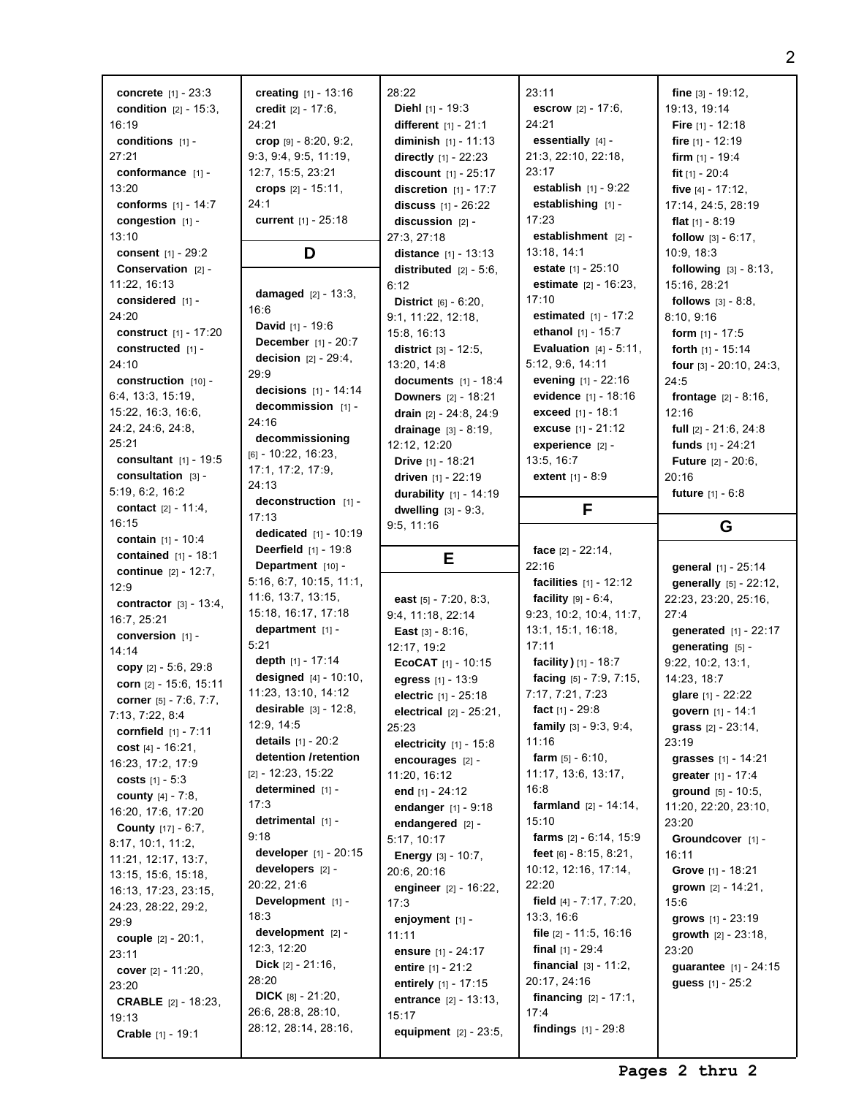| <b>concrete</b> $[1] - 23:3$    | creating $[1] - 13:16$                     | 28:22                             | 23:11                                | fine $[3] - 19:12$ ,            |
|---------------------------------|--------------------------------------------|-----------------------------------|--------------------------------------|---------------------------------|
| <b>condition</b> $[2] - 15:3$ , | credit $[2] - 17:6$ ,                      | <b>Diehl</b> [1] - 19:3           | <b>escrow</b> $[2] - 17:6$ ,         | 19:13, 19:14                    |
| 16:19                           | 24:21                                      | different $[1] - 21:1$            | 24:21                                | <b>Fire</b> $[1]$ - 12:18       |
| conditions $[1]$ -              | crop $[9] - 8:20, 9:2,$                    | <b>diminish</b> $[1] - 11:13$     | essentially $[4]$ -                  | fire $[1] - 12:19$              |
| 27:21                           | 9:3, 9:4, 9:5, 11:19,                      | directly $[1] - 22:23$            | 21:3, 22:10, 22:18,                  | <b>firm</b> $[1]$ - 19:4        |
| conformance [1] -               | 12:7, 15:5, 23:21                          | discount [1] - 25:17              | 23:17                                | fit $[1] - 20:4$                |
| 13:20                           | crops $[2] - 15:11$ ,                      | <b>discretion</b> $[1] - 17:7$    | <b>establish</b> $[1] - 9:22$        | five $[4] - 17:12$ ,            |
| conforms $[1] - 14:7$           | 24:1                                       | discuss $[1] - 26:22$             | establishing [1] -                   | 17:14, 24:5, 28:19              |
| congestion [1] -                | current [1] - 25:18                        | discussion [2] -                  | 17:23                                | flat $[1] - 8:19$               |
| 13:10                           |                                            | 27:3, 27:18                       | establishment $[2]$ -                | follow [3] - 6:17,              |
| consent $[1] - 29:2$            | D                                          | distance [1] - 13:13              | 13:18, 14:1                          | 10:9, 18:3                      |
| <b>Conservation</b> $[2]$ -     |                                            | distributed $[2] - 5:6$ ,         | estate [1] - 25:10                   | <b>following</b> $[3] - 8:13$ , |
| 11:22, 16:13                    |                                            | 6:12                              | <b>estimate</b> $[2] - 16:23$ ,      | 15:16, 28:21                    |
| considered $[1]$ -              | damaged $[2] - 13:3,$                      | <b>District</b> $[6] - 6:20$ ,    | 17:10                                | <b>follows</b> $[3] - 8:8$ ,    |
| 24:20                           | 16:6                                       | 9:1, 11:22, 12:18,                | <b>estimated</b> $[1] - 17:2$        | 8:10, 9:16                      |
| construct [1] - 17:20           | <b>David</b> $[1] - 19:6$                  | 15:8, 16:13                       | ethanol $[1] - 15:7$                 | <b>form</b> $[1] - 17:5$        |
| constructed [1] -               | December [1] - 20:7                        | <b>district</b> $[3] - 12:5$ ,    | <b>Evaluation</b> $[4] - 5:11$ ,     | forth $[1] - 15:14$             |
| 24:10                           | <b>decision</b> $[2] - 29:4,$              | 13:20, 14:8                       | 5:12, 9:6, 14:11                     | four $[3] - 20:10$ , $24:3$ ,   |
| construction $[10]$ -           | 29:9                                       | documents [1] - 18:4              | evening $[1] - 22:16$                | 24:5                            |
| 6:4, 13:3, 15:19,               | decisions $[1] - 14:14$                    | <b>Downers</b> $[2] - 18:21$      | evidence [1] - 18:16                 | <b>frontage</b> $[2] - 8:16$ ,  |
| 15:22, 16:3, 16:6,              | decommission [1] -                         | <b>drain</b> $[2] - 24:8, 24:9$   | exceed [1] - 18:1                    | 12:16                           |
| 24:2, 24:6, 24:8,               | 24:16                                      | drainage $[3] - 8:19$ ,           | <b>excuse</b> $[1] - 21:12$          | full $[2] - 21:6, 24:8$         |
| 25:21                           | decommissioning                            | 12:12, 12:20                      | experience $[2]$ -                   | funds $[1] - 24:21$             |
| consultant $[1] - 19:5$         | $[6] - 10:22, 16:23,$                      | Drive [1] - 18:21                 | 13:5, 16:7                           | <b>Future</b> [2] - 20:6,       |
| consultation $[3]$ -            | 17:1, 17:2, 17:9,                          | driven [1] - 22:19                | <b>extent</b> $[1] - 8:9$            | 20:16                           |
| 5:19, 6:2, 16:2                 | 24:13                                      | durability [1] - 14:19            |                                      | <b>future</b> $[1] - 6:8$       |
| contact $[2] - 11:4,$           | deconstruction [1] -                       | dwelling $[3] - 9:3$ ,            | F                                    |                                 |
| 16:15                           | 17:13                                      | 9:5, 11:16                        |                                      | G                               |
| <b>contain</b> $[1] - 10:4$     | dedicated $[1] - 10:19$                    |                                   |                                      |                                 |
| contained $[1] - 18:1$          | <b>Deerfield</b> $[1] - 19:8$              | Е                                 | face $[2] - 22:14$ ,                 |                                 |
|                                 |                                            |                                   |                                      |                                 |
| <b>continue</b> $[2] - 12:7$ ,  | Department [10] -                          |                                   | 22:16                                | general [1] - 25:14             |
| 12:9                            | 5:16, 6:7, 10:15, 11:1,                    |                                   | <b>facilities</b> $[1] - 12:12$      | generally [5] - 22:12,          |
| contractor $[3] - 13:4,$        | 11:6, 13:7, 13:15,                         | east $[5] - 7:20, 8:3,$           | <b>facility</b> $[9] - 6:4,$         | 22:23, 23:20, 25:16,            |
| 16:7, 25:21                     | 15:18, 16:17, 17:18                        | 9:4, 11:18, 22:14                 | 9:23, 10:2, 10:4, 11:7,              | 27:4                            |
| conversion $[1]$ -              | department $[1]$ -                         | <b>East</b> $[3] - 8:16$ ,        | 13:1, 15:1, 16:18,                   | generated [1] - 22:17           |
| 14:14                           | 5:21                                       | 12:17, 19:2                       | 17:11                                | generating [5] -                |
| copy $[2] - 5:6, 29:8$          | depth $[1] - 17:14$                        | EcoCAT $[1] - 10:15$              | facility) $[1] - 18:7$               | 9:22, 10:2, 13:1,               |
| corn [2] - 15:6, 15:11          | <b>designed</b> $[4] - 10:10$ ,            | egress [1] - 13:9                 | facing [5] - 7:9, 7:15,              | 14:23, 18:7                     |
| corner $[5] - 7:6, 7:7,$        | 11:23, 13:10, 14:12                        | <b>electric</b> $[1] - 25:18$     | 7:17, 7:21, 7:23                     | glare [1] - 22:22               |
| 7:13, 7:22, 8:4                 | <b>desirable</b> $[3] - 12:8$ ,            | <b>electrical</b> $[2] - 25:21$ , | fact $[1] - 29:8$                    | govern [1] - 14:1               |
| <b>cornfield</b> $[1] - 7:11$   | 12:9, 14:5                                 | 25:23                             | family [3] - 9:3, 9:4,               | grass $[2] - 23:14$ ,           |
| cost $[4] - 16:21$ ,            | details $[1] - 20:2$                       | electricity $[1] - 15:8$          | 11:16                                | 23:19                           |
| 16:23, 17:2, 17:9               | detention /retention                       | encourages [2] -                  | farm $[5] - 6:10$ ,                  | grasses [1] - 14:21             |
| costs $[1] - 5:3$               | $[2] - 12:23, 15:22$                       | 11:20, 16:12                      | 11:17, 13:6, 13:17,                  | greater [1] - 17:4              |
| <b>county</b> $[4] - 7:8$ ,     | determined $[1]$ -                         | end $[1] - 24:12$                 | 16:8                                 | ground [5] - 10:5,              |
| 16:20, 17:6, 17:20              | 17:3                                       | endanger $[1] - 9:18$             | farmland $[2] - 14:14$ ,             | 11:20, 22:20, 23:10,            |
| <b>County</b> $[17] - 6:7$ ,    | detrimental $[1]$ -                        | endangered [2] -                  | 15:10                                | 23:20                           |
| 8:17, 10:1, 11:2,               | 9:18                                       | 5:17, 10:17                       | farms $[2] - 6:14, 15:9$             | Groundcover [1] -               |
| 11:21, 12:17, 13:7,             | developer [1] - 20:15                      | <b>Energy</b> $[3] - 10:7$ ,      | feet $[6] - 8:15, 8:21,$             | 16:11                           |
| 13:15, 15:6, 15:18,             | developers [2] -                           | 20:6, 20:16                       | 10:12, 12:16, 17:14,                 | Grove [1] - 18:21               |
| 16:13, 17:23, 23:15,            | 20:22, 21:6                                | engineer $[2] - 16:22$ ,          | 22:20                                | grown $[2] - 14:21$ ,           |
| 24:23, 28:22, 29:2,             | Development [1] -                          | 17:3                              | field $[4] - 7:17, 7:20,$            | 15:6                            |
| 29:9                            | 18:3                                       | enjoyment [1] -                   | 13:3, 16:6                           | grows $[1] - 23:19$             |
| <b>couple</b> $[2] - 20:1$ ,    | development [2] -                          | 11:11                             | file $[2] - 11:5, 16:16$             | growth $[2] - 23:18$ ,          |
| 23:11                           | 12:3, 12:20                                | ensure [1] - 24:17                | final $[1] - 29:4$                   | 23:20                           |
| cover $[2] - 11:20$ ,           | <b>Dick</b> $[2] - 21:16$ ,                | entire $[1] - 21:2$               | <b>financial</b> $[3] - 11:2$ ,      | guarantee [1] - 24:15           |
| 23:20                           | 28:20                                      | entirely [1] - 17:15              | 20:17, 24:16                         | <b>guess</b> $[1] - 25:2$       |
| <b>CRABLE</b> [2] - 18:23,      | <b>DICK</b> $[8] - 21:20$ ,                | <b>entrance</b> $[2] - 13:13$ ,   | <b>financing</b> $[2] - 17:1$ ,      |                                 |
| 19:13<br>Crable [1] - 19:1      | 26:6, 28:8, 28:10,<br>28:12, 28:14, 28:16, | 15:17<br>equipment $[2] - 23:5$ , | 17:4<br><b>findings</b> $[1] - 29:8$ |                                 |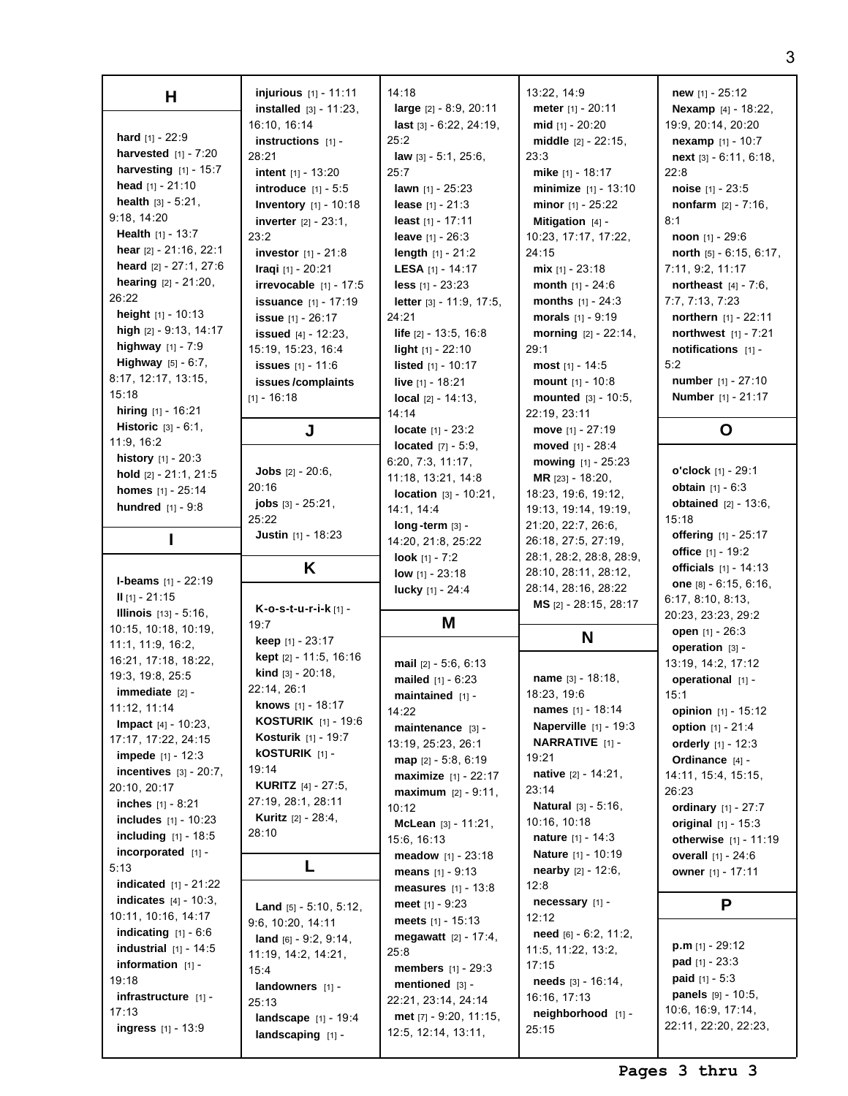| Н                               | injurious [1] - 11:11                                | 14:18                                           | 13:22, 14:9                    | <b>new</b> $[1] - 25:12$       |
|---------------------------------|------------------------------------------------------|-------------------------------------------------|--------------------------------|--------------------------------|
|                                 | <b>installed</b> $[3] - 11:23$ ,                     | large [2] - 8:9, 20:11                          | meter [1] - 20:11              | Nexamp [4] - 18:22,            |
|                                 | 16:10, 16:14                                         | last [3] - 6:22, 24:19,                         | mid $[1] - 20:20$              | 19:9, 20:14, 20:20             |
| hard [1] - 22:9                 | instructions $[1]$ -                                 | 25:2                                            | middle $[2] - 22:15$ ,         | $nexamp$ [1] - 10:7            |
| <b>harvested</b> $[1] - 7:20$   | 28:21                                                | <b>law</b> $[3] - 5:1$ , $25:6$ ,               | 23:3                           | $next$ [3] - 6:11, 6:18,       |
| harvesting [1] - 15:7           | intent $[1] - 13:20$                                 | 25:7                                            | mike [1] - 18:17               |                                |
| head $[1] - 21:10$              |                                                      |                                                 |                                | 22:8                           |
|                                 | introduce $[1] - 5:5$                                | <b>lawn</b> $[1]$ - 25:23                       | minimize [1] - 13:10           | <b>noise</b> $[1] - 23:5$      |
| <b>health</b> $[3] - 5:21$ ,    | <b>Inventory</b> [1] - 10:18                         | <b>lease</b> $[1] - 21:3$                       | minor $[1] - 25:22$            | <b>nonfarm</b> $[2] - 7:16$ ,  |
| 9:18, 14:20                     | <b>inverter</b> $[2] - 23:1$ ,                       | least $[1] - 17:11$                             | Mitigation [4] -               | 8:1                            |
| <b>Health</b> $[1] - 13:7$      | 23:2                                                 | <b>leave</b> $[1] - 26:3$                       | 10:23, 17:17, 17:22,           | <b>noon</b> $[1]$ - 29:6       |
| hear [2] - 21:16, 22:1          | <b>investor</b> $[1] - 21:8$                         | <b>length</b> $[1] - 21:2$                      | 24:15                          | north [5] - 6:15, 6:17,        |
| heard [2] - 27:1, 27:6          | Iragi [1] - 20:21                                    | LESA [1] - 14:17                                | mix $[1] - 23:18$              | 7:11, 9:2, 11:17               |
| <b>hearing</b> $[2] - 21:20$ ,  | irrevocable $[1] - 17:5$                             | $less$ [1] - 23:23                              | <b>month</b> $[1] - 24:6$      | northeast [4] - 7:6,           |
| 26:22                           | <b>issuance</b> $[1] - 17:19$                        | letter [3] - 11:9, 17:5,                        | months $[1] - 24:3$            | 7:7, 7:13, 7:23                |
| height $[1] - 10:13$            | <b>issue</b> [1] - 26:17                             | 24:21                                           | morals $[1] - 9:19$            | northern $[1] - 22:11$         |
| high [2] - 9:13, 14:17          | <b>issued</b> $[4] - 12:23$ ,                        | <b>life</b> $[2] - 13:5, 16:8$                  | morning $[2] - 22:14$ ,        | northwest $[1] - 7:21$         |
| highway $[1] - 7:9$             |                                                      |                                                 | 29:1                           | notifications [1] -            |
| Highway [5] - 6:7,              | 15:19, 15:23, 16:4                                   | <b>light</b> $[1]$ - 22:10                      |                                |                                |
| 8:17, 12:17, 13:15,             | <b>issues</b> $[1] - 11:6$                           | <b>listed</b> $[1] - 10:17$                     | most $[1] - 14:5$              | 5:2                            |
|                                 | issues/complaints                                    | <b>live</b> [1] - 18:21                         | mount [1] - 10:8               | <b>number</b> $[1] - 27:10$    |
| 15:18                           | $[1] - 16:18$                                        | <b>local</b> $[2] - 14:13$ ,                    | mounted [3] - 10:5,            | <b>Number</b> [1] - 21:17      |
| hiring $[1] - 16:21$            |                                                      | 14:14                                           | 22:19, 23:11                   |                                |
| <b>Historic</b> $[3] - 6:1$ ,   | J                                                    | locate $[1] - 23:2$                             | move $[1] - 27:19$             | O                              |
| 11:9, 16:2                      |                                                      | <b>located</b> $[7] - 5.9$ ,                    | moved [1] - 28:4               |                                |
| <b>history</b> $[1] - 20:3$     |                                                      | 6:20, 7:3, 11:17,                               | mowing [1] - 25:23             |                                |
| hold [2] - 21:1, 21:5           | <b>Jobs</b> $[2] - 20:6$ ,                           | 11:18, 13:21, 14:8                              | MR [23] - 18:20,               | o'clock [1] - 29:1             |
| homes [1] - 25:14               | 20:16                                                | <b>location</b> $[3] - 10:21$ ,                 | 18:23, 19:6, 19:12,            | <b>obtain</b> $[1] - 6:3$      |
| hundred [1] - 9:8               | <b>jobs</b> $[3] - 25:21$ ,                          | 14:1, 14:4                                      | 19:13, 19:14, 19:19,           | <b>obtained</b> $[2] - 13:6$ , |
|                                 | 25:22                                                | $long-term$ [3] -                               | 21:20, 22:7, 26:6,             | 15:18                          |
|                                 | <b>Justin</b> $[1] - 18:23$                          | 14:20, 21:8, 25:22                              | 26:18, 27:5, 27:19,            | <b>offering</b> [1] - 25:17    |
|                                 |                                                      |                                                 | 28:1, 28:2, 28:8, 28:9,        | office $[1] - 19:2$            |
|                                 |                                                      | look $[1] - 7:2$                                |                                |                                |
|                                 |                                                      |                                                 |                                |                                |
| <b>I-beams</b> $[1]$ - 22:19    | K                                                    | <b>low</b> $[1] - 23:18$                        | 28:10, 28:11, 28:12,           | <b>officials</b> $[1] - 14:13$ |
|                                 |                                                      | lucky [1] - 24:4                                | 28:14, 28:16, 28:22            | one $[8] - 6:15, 6:16,$        |
| $II$ [1] - 21:15                | K-o-s-t-u-r-i-k [1] -                                |                                                 | MS [2] - 28:15, 28:17          | 6:17, 8:10, 8:13,              |
| <b>Illinois</b> $[13] - 5:16$ . | 19:7                                                 | Μ                                               |                                | 20:23, 23:23, 29:2             |
| 10:15, 10:18, 10:19,            |                                                      |                                                 | N                              | open [1] - 26:3                |
| 11:1, 11:9, 16:2,               | <b>keep</b> $[1] - 23:17$                            |                                                 |                                | operation [3] -                |
| 16:21, 17:18, 18:22,            | kept [2] - 11:5, 16:16                               | mail [2] - 5:6, 6:13                            |                                | 13:19, 14:2, 17:12             |
| 19:3, 19:8, 25:5                | <b>kind</b> $[3] - 20:18$ ,                          | mailed $[1] - 6:23$                             | <b>name</b> $[3] - 18:18$ ,    | operational [1] -              |
| immediate [2] -                 | 22:14, 26:1                                          | maintained $[1]$ -                              | 18:23, 19:6                    | 15:1                           |
| 11:12, 11:14                    | <b>knows</b> $[1] - 18:17$                           | 14:22                                           | names [1] - 18:14              | opinion $[1] - 15:12$          |
| Impact [4] - 10:23,             | <b>KOSTURIK</b> $[1]$ - 19:6                         | maintenance [3] -                               | <b>Naperville</b> $[1] - 19:3$ | <b>option</b> $[1] - 21:4$     |
| 17:17, 17:22, 24:15             | <b>Kosturik</b> [1] - 19:7                           | 13:19, 25:23, 26:1                              | <b>NARRATIVE</b> [1] -         | orderly $[1] - 12:3$           |
| <b>impede</b> $[1] - 12:3$      | <b>kOSTURIK</b> $[1]$ -                              | $map$ [2] - 5:8, 6:19                           | 19:21                          | Ordinance [4] -                |
| incentives $[3] - 20:7$ ,       | 19:14                                                |                                                 | <b>native</b> $[2] - 14:21$ ,  |                                |
| 20:10, 20:17                    | <b>KURITZ</b> $[4] - 27:5$                           | <b>maximize</b> $[1] - 22:17$                   | 23:14                          | 14:11, 15:4, 15:15,            |
| <b>inches</b> $[1] - 8:21$      | 27:19, 28:1, 28:11                                   | <b>maximum</b> $[2] - 9:11$ ,                   |                                | 26:23                          |
| includes [1] - 10:23            | <b>Kuritz</b> $[2] - 28:4,$                          | 10:12                                           | <b>Natural</b> [3] - 5:16,     | <b>ordinary</b> [1] - 27:7     |
|                                 | 28:10                                                | McLean $[3] - 11:21$ ,                          | 10:16, 10:18                   | original $[1] - 15:3$          |
| <b>including</b> $[1] - 18:5$   |                                                      | 15:6, 16:13                                     | <b>nature</b> $[1] - 14:3$     | <b>otherwise</b> $[1] - 11:19$ |
| incorporated $[1]$ -            |                                                      | <b>meadow</b> $[1] - 23:18$                     | <b>Nature</b> $[1] - 10:19$    | overall [1] - 24:6             |
| 5:13                            | L                                                    | <b>means</b> $[1] - 9:13$                       | <b>nearby</b> $[2] - 12:6$ ,   | owner $[1] - 17:11$            |
| <b>indicated</b> $[1] - 21:22$  |                                                      | <b>measures</b> $[1] - 13:8$                    | 12:8                           |                                |
| <b>indicates</b> $[4] - 10:3$   | <b>Land</b> $[5] - 5:10, 5:12,$                      | <b>meet</b> $[1] - 9:23$                        | necessary [1] -                | P                              |
| 10:11, 10:16, 14:17             | 9:6, 10:20, 14:11                                    | meets $[1] - 15:13$                             | 12:12                          |                                |
| <b>indicating</b> $[1] - 6:6$   |                                                      | <b>megawatt</b> $[2] - 17:4$ ,                  | $need$ [6] - 6:2, 11:2,        |                                |
| industrial $[1]$ - 14:5         | land $[6] - 9:2, 9:14$ ,                             | 25:8                                            | 11:5, 11:22, 13:2,             | $p.m$ [1] - 29:12              |
| information [1] -               | 11:19, 14:2, 14:21,                                  | <b>members</b> $[1] - 29:3$                     | 17:15                          | <b>pad</b> $[1] - 23:3$        |
| 19:18                           | 15:4                                                 |                                                 | needs $[3] - 16:14$ ,          | <b>paid</b> $[1] - 5:3$        |
| infrastructure [1] -            | landowners $[1]$ -                                   | <b>mentioned</b> $[3]$ -                        | 16:16, 17:13                   | panels [9] - 10:5,             |
| 17:13                           | 25:13                                                | 22:21, 23:14, 24:14                             |                                | 10:6, 16:9, 17:14,             |
| <b>ingress</b> $[1] - 13:9$     | <b>landscape</b> $[1] - 19:4$<br>landscaping $[1]$ - | met $[7] - 9:20, 11:15,$<br>12:5, 12:14, 13:11, | neighborhood [1] -<br>25:15    | 22:11, 22:20, 22:23,           |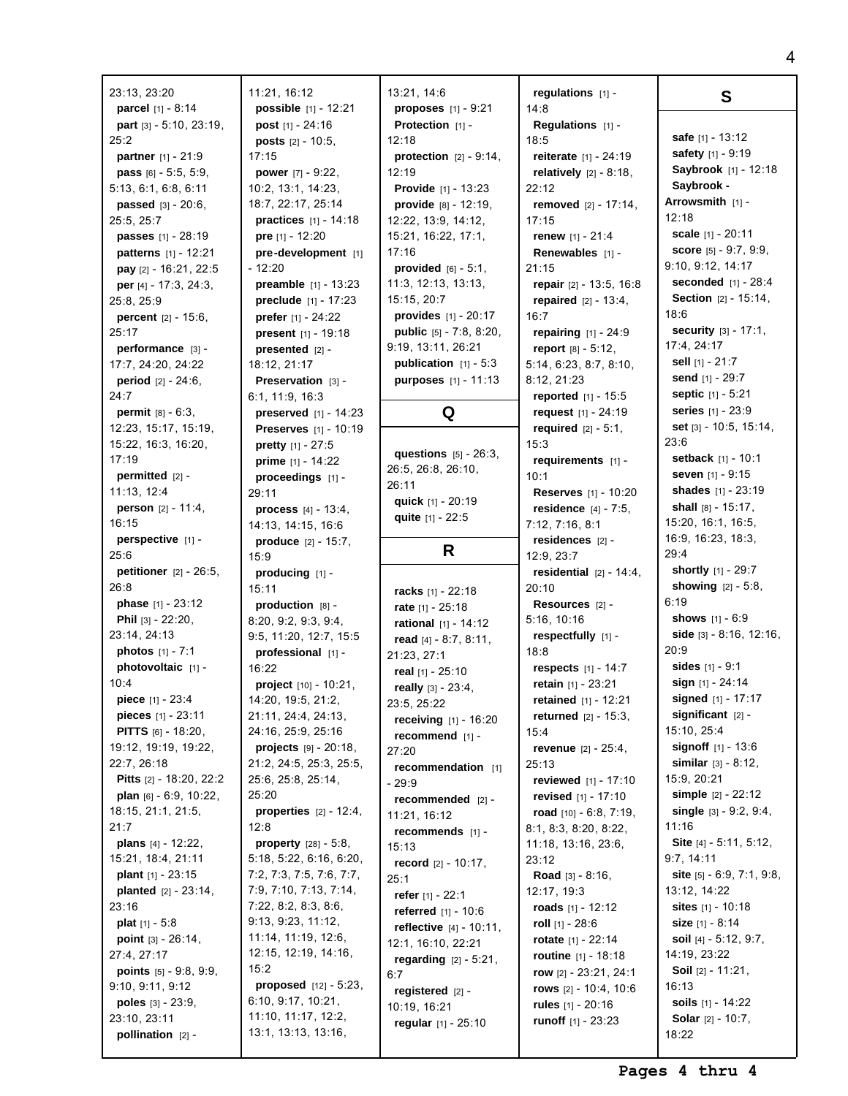23:13, 23:20 **parcel** [1] - 8:14 **part** [3] - 5:10, 23:19, 25:2 **partner** [1] - 21:9 **pass** [6] - 5:5, 5:9, 5:13, 6:1, 6:8, 6:11 **passed** [3] - 20:6, 25:5, 25:7 **passes** [1] - 28:19 **patterns** [1] - 12:21 **pay** [2] - 16:21, 22:5 **per** [4] - 17:3, 24:3, 25:8, 25:9 **percent** [2] - 15:6, 25:17 **performance** [3] - 17:7, 24:20, 24:22 **period** [2] - 24:6, 24:7 **permit** [8] - 6:3, 12:23, 15:17, 15:19, 15:22, 16:3, 16:20, 17:19 **permitted** [2] - 11:13, 12:4 **person** [2] - 11:4, 16:15 **perspective** [1] - 25:6 **petitioner** [2] - 26:5, 26:8 **phase** [1] - 23:12 **Phil** [3] - 22:20, 23:14, 24:13 **photos** [1] - 7:1 **photovoltaic** [1] -  $10.4$ **piece** [1] - 23:4 **pieces** [1] - 23:11 **PITTS** [6] - 18:20, 19:12, 19:19, 19:22, 22:7, 26:18 **Pitts** [2] - 18:20, 22:2 **plan** [6] - 6:9, 10:22, 18:15, 21:1, 21:5, 21:7 **plans** [4] - 12:22, 15:21, 18:4, 21:11 **plant** [1] - 23:15 **planted** [2] - 23:14, 23:16 **plat** [1] - 5:8 **point** [3] - 26:14, 27:4, 27:17 **points** [5] - 9:8, 9:9, 9:10, 9:11, 9:12 **poles** [3] - 23:9, 23:10, 23:11 **pollination** [2] - 15:9 12:8 15:2

11:21, 16:12 **possible** [1] - 12:21 **post** [1] - 24:16 **posts** [2] - 10:5, 17:15 **power** [7] - 9:22, 10:2, 13:1, 14:23, 18:7, 22:17, 25:14 **practices** [1] - 14:18 **pre** [1] - 12:20 **pre-development** [1] - 12:20 **preamble** [1] - 13:23 **preclude** [1] - 17:23 **prefer** [1] - 24:22 **present** [1] - 19:18 **presented** [2] - 18:12, 21:17 **Preservation** [3] -6:1, 11:9, 16:3 **preserved** [1] - 14:23 **Preserves** [1] - 10:19 **pretty** [1] - 27:5 **prime** [1] - 14:22 **proceedings** [1] - 29:11 **process** [4] - 13:4, 14:13, 14:15, 16:6 **produce** [2] - 15:7, **producing** [1] - 15:11 **production** [8] - 8:20, 9:2, 9:3, 9:4, 9:5, 11:20, 12:7, 15:5 **professional** [1] - 16:22 **project** [10] - 10:21, 14:20, 19:5, 21:2, 21:11, 24:4, 24:13, 24:16, 25:9, 25:16 **projects** [9] - 20:18, 21:2, 24:5, 25:3, 25:5, 25:6, 25:8, 25:14, 25:20 **properties** [2] - 12:4, **property** [28] - 5:8, 5:18, 5:22, 6:16, 6:20, 7:2, 7:3, 7:5, 7:6, 7:7, 7:9, 7:10, 7:13, 7:14, 7:22, 8:2, 8:3, 8:6, 9:13, 9:23, 11:12, 11:14, 11:19, 12:6, 12:15, 12:19, 14:16, **proposed** [12] - 5:23, 6:10, 9:17, 10:21, 11:10, 11:17, 12:2, 13:1, 13:13, 13:16,

13:21, 14:6 **proposes** [1] - 9:21 **Protection** [1] -12:18 **protection** [2] - 9:14, 12:19 **Provide** [1] - 13:23 **provide** [8] - 12:19, 12:22, 13:9, 14:12, 15:21, 16:22, 17:1, 17:16 **provided** [6] - 5:1, 11:3, 12:13, 13:13, 15:15, 20:7 **provides** [1] - 20:17 **public** [5] - 7:8, 8:20, 9:19, 13:11, 26:21 **publication** [1] - 5:3 **purposes** [1] - 11:13 **Q questions** [5] - 26:3, 26:5, 26:8, 26:10, 26:11 **quick** [1] - 20:19 **quite** [1] - 22:5 **R racks** [1] - 22:18 **rate** [1] - 25:18 **rational** [1] - 14:12 **read** [4] - 8:7, 8:11, 21:23, 27:1 **real** [1] - 25:10 **really** [3] - 23:4, 23:5, 25:22 **receiving** [1] - 16:20 **recommend** [1] - 27:20 **recommendation** [1] - 29:9 **recommended** [2] - 11:21, 16:12 **recommends** [1] - 15:13 **record** [2] - 10:17, 25:1 **refer** [1] - 22:1 **referred** [1] - 10:6 **reflective** [4] - 10:11, 12:1, 16:10, 22:21 **regarding** [2] - 5:21, 6:7 **registered** [2] - 10:19, 16:21 **regular** [1] - 25:10

**regulations** [1] -  $14.8$ **Regulations** [1] - 18:5 **reiterate** [1] - 24:19 **relatively** [2] - 8:18,  $22.12$ **removed** [2] - 17:14, 17:15 **renew** [1] - 21:4 **Renewables** [1] -  $21:15$ **repair** [2] - 13:5, 16:8 **repaired** [2] - 13:4, 16:7 **repairing** [1] - 24:9 **report** [8] - 5:12, 5:14, 6:23, 8:7, 8:10, 8:12, 21:23 **reported** [1] - 15:5 **request** [1] - 24:19 **required** [2] - 5:1, 15:3 **requirements** [1] - 10:1 **Reserves** [1] - 10:20 **residence** [4] - 7:5, 7:12, 7:16, 8:1 **residences** [2] - 12:9, 23:7 **residential** [2] - 14:4, 20:10 **Resources** [2] - 5:16, 10:16 **respectfully** [1] - 18:8 **respects** [1] - 14:7 **retain** [1] - 23:21 **retained** [1] - 12:21 **returned** [2] - 15:3, 15:4 **revenue** [2] - 25:4, 25:13 **reviewed** [1] - 17:10 **revised** [1] - 17:10 **road** [10] - 6:8, 7:19, 8:1, 8:3, 8:20, 8:22, 11:18, 13:16, 23:6, 23:12 **Road** [3] - 8:16, 12:17, 19:3 **roads** [1] - 12:12 **roll** [1] - 28:6 **rotate** [1] - 22:14 **routine** [1] - 18:18 **row** [2] - 23:21, 24:1 **rows** [2] - 10:4, 10:6 **rules** [1] - 20:16 **runoff** [1] - 23:23

**safe** [1] - 13:12 **safety** [1] - 9:19 **Saybrook** [1] - 12:18 **Saybrook - Arrowsmith** [1] - 12:18 **scale** [1] - 20:11 **score** [5] - 9:7, 9:9, 9:10, 9:12, 14:17 **seconded** [1] - 28:4 **Section** [2] - 15:14, 18:6 **security** [3] - 17:1, 17:4, 24:17 **sell** [1] - 21:7 **send** [1] - 29:7 **septic** [1] - 5:21 **series** [1] - 23:9 **set** [3] - 10:5, 15:14, 23:6 **setback** [1] - 10:1 **seven** [1] - 9:15 **shades** [1] - 23:19 **shall** [8] - 15:17, 15:20, 16:1, 16:5, 16:9, 16:23, 18:3, 29:4 **shortly** [1] - 29:7 **showing** [2] - 5:8, 6:19 **shows** [1] - 6:9 **side** [3] - 8:16, 12:16, 20:9 **sides** [1] - 9:1 **sign** [1] - 24:14 **signed** [1] - 17:17 **significant** [2] - 15:10, 25:4 **signoff** [1] - 13:6 **similar** [3] - 8:12, 15:9, 20:21 **simple** [2] - 22:12 **single** [3] - 9:2, 9:4, 11:16 **Site** [4] - 5:11, 5:12, 9:7, 14:11 **site** [5] - 6:9, 7:1, 9:8, 13:12, 14:22 **sites** [1] - 10:18 **size** [1] - 8:14 **soil** [4] - 5:12, 9:7, 14:19, 23:22 **Soil** [2] - 11:21, 16:13 **soils** [1] - 14:22 **Solar** [2] - 10:7,

**S**

18:22